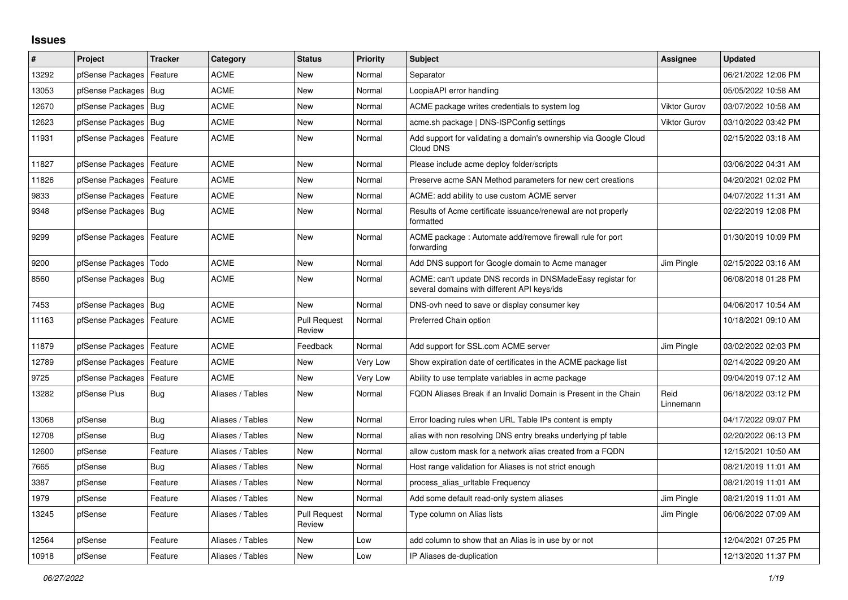## **Issues**

| #     | Project                | <b>Tracker</b> | Category         | <b>Status</b>                 | <b>Priority</b> | <b>Subject</b>                                                                                            | <b>Assignee</b>     | <b>Updated</b>      |
|-------|------------------------|----------------|------------------|-------------------------------|-----------------|-----------------------------------------------------------------------------------------------------------|---------------------|---------------------|
| 13292 | pfSense Packages       | Feature        | <b>ACME</b>      | New                           | Normal          | Separator                                                                                                 |                     | 06/21/2022 12:06 PM |
| 13053 | pfSense Packages       | Bug            | <b>ACME</b>      | <b>New</b>                    | Normal          | LoopiaAPI error handling                                                                                  |                     | 05/05/2022 10:58 AM |
| 12670 | pfSense Packages       | Bug            | <b>ACME</b>      | <b>New</b>                    | Normal          | ACME package writes credentials to system log                                                             | <b>Viktor Gurov</b> | 03/07/2022 10:58 AM |
| 12623 | pfSense Packages       | Bug            | <b>ACME</b>      | <b>New</b>                    | Normal          | acme.sh package   DNS-ISPConfig settings                                                                  | <b>Viktor Gurov</b> | 03/10/2022 03:42 PM |
| 11931 | pfSense Packages       | Feature        | <b>ACME</b>      | <b>New</b>                    | Normal          | Add support for validating a domain's ownership via Google Cloud<br>Cloud DNS                             |                     | 02/15/2022 03:18 AM |
| 11827 | pfSense Packages       | Feature        | <b>ACME</b>      | <b>New</b>                    | Normal          | Please include acme deploy folder/scripts                                                                 |                     | 03/06/2022 04:31 AM |
| 11826 | pfSense Packages       | Feature        | <b>ACME</b>      | New                           | Normal          | Preserve acme SAN Method parameters for new cert creations                                                |                     | 04/20/2021 02:02 PM |
| 9833  | pfSense Packages       | Feature        | ACME             | New                           | Normal          | ACME: add ability to use custom ACME server                                                               |                     | 04/07/2022 11:31 AM |
| 9348  | pfSense Packages       | Bug            | <b>ACME</b>      | <b>New</b>                    | Normal          | Results of Acme certificate issuance/renewal are not properly<br>formatted                                |                     | 02/22/2019 12:08 PM |
| 9299  | pfSense Packages       | Feature        | <b>ACME</b>      | <b>New</b>                    | Normal          | ACME package: Automate add/remove firewall rule for port<br>forwarding                                    |                     | 01/30/2019 10:09 PM |
| 9200  | pfSense Packages       | Todo           | <b>ACME</b>      | <b>New</b>                    | Normal          | Add DNS support for Google domain to Acme manager                                                         | Jim Pingle          | 02/15/2022 03:16 AM |
| 8560  | pfSense Packages       | Bug            | <b>ACME</b>      | <b>New</b>                    | Normal          | ACME: can't update DNS records in DNSMadeEasy registar for<br>several domains with different API keys/ids |                     | 06/08/2018 01:28 PM |
| 7453  | pfSense Packages   Bug |                | <b>ACME</b>      | <b>New</b>                    | Normal          | DNS-ovh need to save or display consumer key                                                              |                     | 04/06/2017 10:54 AM |
| 11163 | pfSense Packages       | Feature        | <b>ACME</b>      | <b>Pull Request</b><br>Review | Normal          | Preferred Chain option                                                                                    |                     | 10/18/2021 09:10 AM |
| 11879 | pfSense Packages       | Feature        | <b>ACME</b>      | Feedback                      | Normal          | Add support for SSL.com ACME server                                                                       | Jim Pingle          | 03/02/2022 02:03 PM |
| 12789 | pfSense Packages       | Feature        | <b>ACME</b>      | <b>New</b>                    | Very Low        | Show expiration date of certificates in the ACME package list                                             |                     | 02/14/2022 09:20 AM |
| 9725  | pfSense Packages       | Feature        | <b>ACME</b>      | <b>New</b>                    | Very Low        | Ability to use template variables in acme package                                                         |                     | 09/04/2019 07:12 AM |
| 13282 | pfSense Plus           | Bug            | Aliases / Tables | New                           | Normal          | FQDN Aliases Break if an Invalid Domain is Present in the Chain                                           | Reid<br>Linnemann   | 06/18/2022 03:12 PM |
| 13068 | pfSense                | Bug            | Aliases / Tables | <b>New</b>                    | Normal          | Error loading rules when URL Table IPs content is empty                                                   |                     | 04/17/2022 09:07 PM |
| 12708 | pfSense                | <b>Bug</b>     | Aliases / Tables | <b>New</b>                    | Normal          | alias with non resolving DNS entry breaks underlying pf table                                             |                     | 02/20/2022 06:13 PM |
| 12600 | pfSense                | Feature        | Aliases / Tables | <b>New</b>                    | Normal          | allow custom mask for a network alias created from a FQDN                                                 |                     | 12/15/2021 10:50 AM |
| 7665  | pfSense                | <b>Bug</b>     | Aliases / Tables | <b>New</b>                    | Normal          | Host range validation for Aliases is not strict enough                                                    |                     | 08/21/2019 11:01 AM |
| 3387  | pfSense                | Feature        | Aliases / Tables | <b>New</b>                    | Normal          | process alias uritable Frequency                                                                          |                     | 08/21/2019 11:01 AM |
| 1979  | pfSense                | Feature        | Aliases / Tables | <b>New</b>                    | Normal          | Add some default read-only system aliases                                                                 | Jim Pingle          | 08/21/2019 11:01 AM |
| 13245 | pfSense                | Feature        | Aliases / Tables | <b>Pull Request</b><br>Review | Normal          | Type column on Alias lists                                                                                | Jim Pingle          | 06/06/2022 07:09 AM |
| 12564 | pfSense                | Feature        | Aliases / Tables | <b>New</b>                    | Low             | add column to show that an Alias is in use by or not                                                      |                     | 12/04/2021 07:25 PM |
| 10918 | pfSense                | Feature        | Aliases / Tables | <b>New</b>                    | Low             | IP Aliases de-duplication                                                                                 |                     | 12/13/2020 11:37 PM |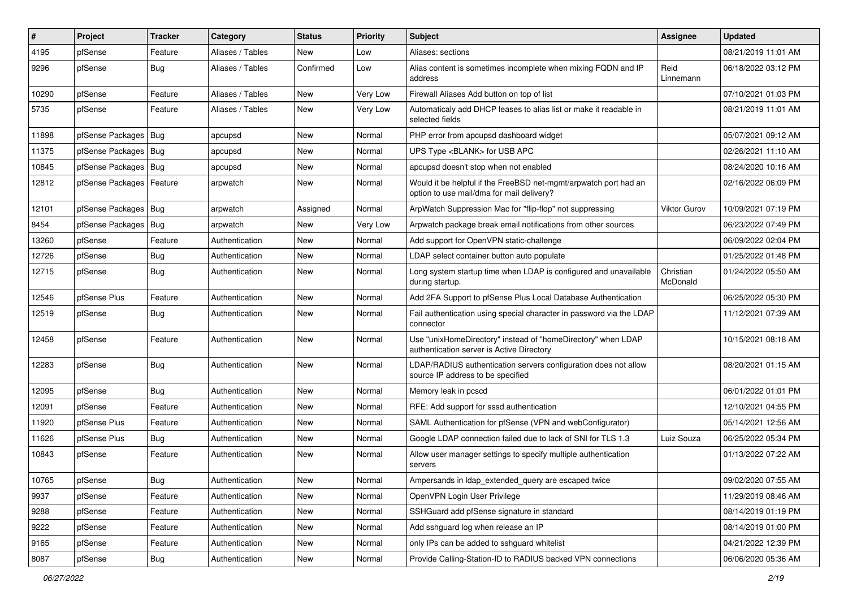| ∦     | Project                | <b>Tracker</b> | Category         | <b>Status</b> | <b>Priority</b> | <b>Subject</b>                                                                                                | <b>Assignee</b>       | <b>Updated</b>      |
|-------|------------------------|----------------|------------------|---------------|-----------------|---------------------------------------------------------------------------------------------------------------|-----------------------|---------------------|
| 4195  | pfSense                | Feature        | Aliases / Tables | New           | Low             | Aliases: sections                                                                                             |                       | 08/21/2019 11:01 AM |
| 9296  | pfSense                | Bug            | Aliases / Tables | Confirmed     | Low             | Alias content is sometimes incomplete when mixing FQDN and IP<br>address                                      | Reid<br>Linnemann     | 06/18/2022 03:12 PM |
| 10290 | pfSense                | Feature        | Aliases / Tables | <b>New</b>    | Very Low        | Firewall Aliases Add button on top of list                                                                    |                       | 07/10/2021 01:03 PM |
| 5735  | pfSense                | Feature        | Aliases / Tables | New           | Very Low        | Automaticaly add DHCP leases to alias list or make it readable in<br>selected fields                          |                       | 08/21/2019 11:01 AM |
| 11898 | pfSense Packages   Bug |                | apcupsd          | New           | Normal          | PHP error from apcupsd dashboard widget                                                                       |                       | 05/07/2021 09:12 AM |
| 11375 | pfSense Packages       | Bug            | apcupsd          | New           | Normal          | UPS Type <blank> for USB APC</blank>                                                                          |                       | 02/26/2021 11:10 AM |
| 10845 | pfSense Packages   Bug |                | apcupsd          | New           | Normal          | apcupsd doesn't stop when not enabled                                                                         |                       | 08/24/2020 10:16 AM |
| 12812 | pfSense Packages       | Feature        | arpwatch         | New           | Normal          | Would it be helpful if the FreeBSD net-mgmt/arpwatch port had an<br>option to use mail/dma for mail delivery? |                       | 02/16/2022 06:09 PM |
| 12101 | pfSense Packages   Bug |                | arpwatch         | Assigned      | Normal          | ArpWatch Suppression Mac for "flip-flop" not suppressing                                                      | <b>Viktor Gurov</b>   | 10/09/2021 07:19 PM |
| 8454  | pfSense Packages       | Bug            | arpwatch         | New           | Very Low        | Arpwatch package break email notifications from other sources                                                 |                       | 06/23/2022 07:49 PM |
| 13260 | pfSense                | Feature        | Authentication   | New           | Normal          | Add support for OpenVPN static-challenge                                                                      |                       | 06/09/2022 02:04 PM |
| 12726 | pfSense                | Bug            | Authentication   | New           | Normal          | LDAP select container button auto populate                                                                    |                       | 01/25/2022 01:48 PM |
| 12715 | pfSense                | Bug            | Authentication   | New           | Normal          | Long system startup time when LDAP is configured and unavailable<br>during startup.                           | Christian<br>McDonald | 01/24/2022 05:50 AM |
| 12546 | pfSense Plus           | Feature        | Authentication   | New           | Normal          | Add 2FA Support to pfSense Plus Local Database Authentication                                                 |                       | 06/25/2022 05:30 PM |
| 12519 | pfSense                | <b>Bug</b>     | Authentication   | New           | Normal          | Fail authentication using special character in password via the LDAP<br>connector                             |                       | 11/12/2021 07:39 AM |
| 12458 | pfSense                | Feature        | Authentication   | New           | Normal          | Use "unixHomeDirectory" instead of "homeDirectory" when LDAP<br>authentication server is Active Directory     |                       | 10/15/2021 08:18 AM |
| 12283 | pfSense                | Bug            | Authentication   | New           | Normal          | LDAP/RADIUS authentication servers configuration does not allow<br>source IP address to be specified          |                       | 08/20/2021 01:15 AM |
| 12095 | pfSense                | Bug            | Authentication   | New           | Normal          | Memory leak in pcscd                                                                                          |                       | 06/01/2022 01:01 PM |
| 12091 | pfSense                | Feature        | Authentication   | New           | Normal          | RFE: Add support for sssd authentication                                                                      |                       | 12/10/2021 04:55 PM |
| 11920 | pfSense Plus           | Feature        | Authentication   | New           | Normal          | SAML Authentication for pfSense (VPN and webConfigurator)                                                     |                       | 05/14/2021 12:56 AM |
| 11626 | pfSense Plus           | Bug            | Authentication   | New           | Normal          | Google LDAP connection failed due to lack of SNI for TLS 1.3                                                  | Luiz Souza            | 06/25/2022 05:34 PM |
| 10843 | pfSense                | Feature        | Authentication   | New           | Normal          | Allow user manager settings to specify multiple authentication<br>servers                                     |                       | 01/13/2022 07:22 AM |
| 10765 | pfSense                | <b>Bug</b>     | Authentication   | New           | Normal          | Ampersands in Idap_extended_query are escaped twice                                                           |                       | 09/02/2020 07:55 AM |
| 9937  | pfSense                | Feature        | Authentication   | New           | Normal          | OpenVPN Login User Privilege                                                                                  |                       | 11/29/2019 08:46 AM |
| 9288  | pfSense                | Feature        | Authentication   | New           | Normal          | SSHGuard add pfSense signature in standard                                                                    |                       | 08/14/2019 01:19 PM |
| 9222  | pfSense                | Feature        | Authentication   | New           | Normal          | Add sshguard log when release an IP                                                                           |                       | 08/14/2019 01:00 PM |
| 9165  | pfSense                | Feature        | Authentication   | New           | Normal          | only IPs can be added to sshguard whitelist                                                                   |                       | 04/21/2022 12:39 PM |
| 8087  | pfSense                | Bug            | Authentication   | New           | Normal          | Provide Calling-Station-ID to RADIUS backed VPN connections                                                   |                       | 06/06/2020 05:36 AM |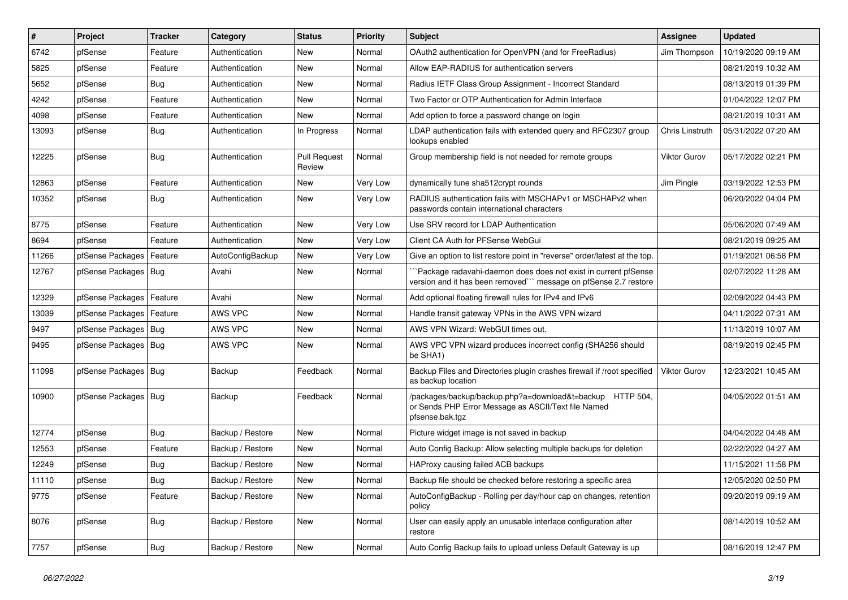| #     | Project                | <b>Tracker</b> | Category         | <b>Status</b>                 | <b>Priority</b> | <b>Subject</b>                                                                                                                      | Assignee            | <b>Updated</b>      |
|-------|------------------------|----------------|------------------|-------------------------------|-----------------|-------------------------------------------------------------------------------------------------------------------------------------|---------------------|---------------------|
| 6742  | pfSense                | Feature        | Authentication   | New                           | Normal          | OAuth2 authentication for OpenVPN (and for FreeRadius)                                                                              | Jim Thompson        | 10/19/2020 09:19 AM |
| 5825  | pfSense                | Feature        | Authentication   | New                           | Normal          | Allow EAP-RADIUS for authentication servers                                                                                         |                     | 08/21/2019 10:32 AM |
| 5652  | pfSense                | <b>Bug</b>     | Authentication   | New                           | Normal          | Radius IETF Class Group Assignment - Incorrect Standard                                                                             |                     | 08/13/2019 01:39 PM |
| 4242  | pfSense                | Feature        | Authentication   | <b>New</b>                    | Normal          | Two Factor or OTP Authentication for Admin Interface                                                                                |                     | 01/04/2022 12:07 PM |
| 4098  | pfSense                | Feature        | Authentication   | <b>New</b>                    | Normal          | Add option to force a password change on login                                                                                      |                     | 08/21/2019 10:31 AM |
| 13093 | pfSense                | <b>Bug</b>     | Authentication   | In Progress                   | Normal          | LDAP authentication fails with extended query and RFC2307 group<br>lookups enabled                                                  | Chris Linstruth     | 05/31/2022 07:20 AM |
| 12225 | pfSense                | <b>Bug</b>     | Authentication   | <b>Pull Request</b><br>Review | Normal          | Group membership field is not needed for remote groups                                                                              | Viktor Gurov        | 05/17/2022 02:21 PM |
| 12863 | pfSense                | Feature        | Authentication   | New                           | Very Low        | dynamically tune sha512crypt rounds                                                                                                 | Jim Pingle          | 03/19/2022 12:53 PM |
| 10352 | pfSense                | <b>Bug</b>     | Authentication   | New                           | Very Low        | RADIUS authentication fails with MSCHAPv1 or MSCHAPv2 when<br>passwords contain international characters                            |                     | 06/20/2022 04:04 PM |
| 8775  | pfSense                | Feature        | Authentication   | <b>New</b>                    | Very Low        | Use SRV record for LDAP Authentication                                                                                              |                     | 05/06/2020 07:49 AM |
| 8694  | pfSense                | Feature        | Authentication   | New                           | Very Low        | Client CA Auth for PFSense WebGui                                                                                                   |                     | 08/21/2019 09:25 AM |
| 11266 | pfSense Packages       | Feature        | AutoConfigBackup | New                           | Very Low        | Give an option to list restore point in "reverse" order/latest at the top.                                                          |                     | 01/19/2021 06:58 PM |
| 12767 | pfSense Packages       | Bug            | Avahi            | New                           | Normal          | `Package radavahi-daemon does does not exist in current pfSense<br>version and it has been removed"" message on pfSense 2.7 restore |                     | 02/07/2022 11:28 AM |
| 12329 | pfSense Packages       | Feature        | Avahi            | <b>New</b>                    | Normal          | Add optional floating firewall rules for IPv4 and IPv6                                                                              |                     | 02/09/2022 04:43 PM |
| 13039 | pfSense Packages       | Feature        | AWS VPC          | New                           | Normal          | Handle transit gateway VPNs in the AWS VPN wizard                                                                                   |                     | 04/11/2022 07:31 AM |
| 9497  | pfSense Packages       | Bug            | AWS VPC          | New                           | Normal          | AWS VPN Wizard: WebGUI times out.                                                                                                   |                     | 11/13/2019 10:07 AM |
| 9495  | pfSense Packages   Bug |                | AWS VPC          | <b>New</b>                    | Normal          | AWS VPC VPN wizard produces incorrect config (SHA256 should<br>be SHA1)                                                             |                     | 08/19/2019 02:45 PM |
| 11098 | pfSense Packages   Bug |                | Backup           | Feedback                      | Normal          | Backup Files and Directories plugin crashes firewall if /root specified<br>as backup location                                       | <b>Viktor Gurov</b> | 12/23/2021 10:45 AM |
| 10900 | pfSense Packages   Bug |                | Backup           | Feedback                      | Normal          | /packages/backup/backup.php?a=download&t=backup HTTP 504,<br>or Sends PHP Error Message as ASCII/Text file Named<br>pfsense.bak.tgz |                     | 04/05/2022 01:51 AM |
| 12774 | pfSense                | Bug            | Backup / Restore | New                           | Normal          | Picture widget image is not saved in backup                                                                                         |                     | 04/04/2022 04:48 AM |
| 12553 | pfSense                | Feature        | Backup / Restore | <b>New</b>                    | Normal          | Auto Config Backup: Allow selecting multiple backups for deletion                                                                   |                     | 02/22/2022 04:27 AM |
| 12249 | pfSense                | <b>Bug</b>     | Backup / Restore | New                           | Normal          | HAProxy causing failed ACB backups                                                                                                  |                     | 11/15/2021 11:58 PM |
| 11110 | pfSense                | <b>Bug</b>     | Backup / Restore | New                           | Normal          | Backup file should be checked before restoring a specific area                                                                      |                     | 12/05/2020 02:50 PM |
| 9775  | pfSense                | Feature        | Backup / Restore | New                           | Normal          | AutoConfigBackup - Rolling per day/hour cap on changes, retention<br>policy                                                         |                     | 09/20/2019 09:19 AM |
| 8076  | pfSense                | <b>Bug</b>     | Backup / Restore | New                           | Normal          | User can easily apply an unusable interface configuration after<br>restore                                                          |                     | 08/14/2019 10:52 AM |
| 7757  | pfSense                | Bug            | Backup / Restore | New                           | Normal          | Auto Config Backup fails to upload unless Default Gateway is up                                                                     |                     | 08/16/2019 12:47 PM |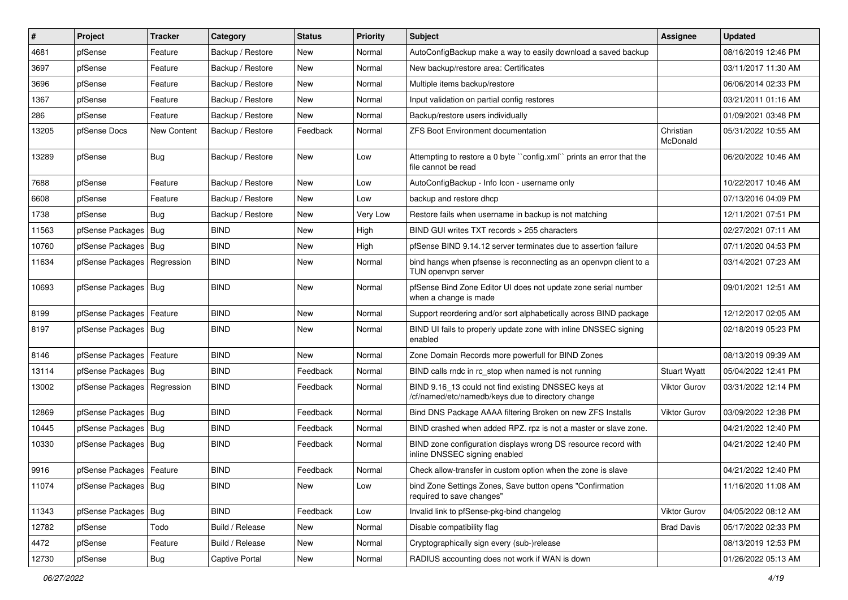| $\vert$ # | Project                    | <b>Tracker</b>     | Category         | <b>Status</b> | <b>Priority</b> | Subject                                                                                                  | Assignee              | <b>Updated</b>      |
|-----------|----------------------------|--------------------|------------------|---------------|-----------------|----------------------------------------------------------------------------------------------------------|-----------------------|---------------------|
| 4681      | pfSense                    | Feature            | Backup / Restore | New           | Normal          | AutoConfigBackup make a way to easily download a saved backup                                            |                       | 08/16/2019 12:46 PM |
| 3697      | pfSense                    | Feature            | Backup / Restore | New           | Normal          | New backup/restore area: Certificates                                                                    |                       | 03/11/2017 11:30 AM |
| 3696      | pfSense                    | Feature            | Backup / Restore | New           | Normal          | Multiple items backup/restore                                                                            |                       | 06/06/2014 02:33 PM |
| 1367      | pfSense                    | Feature            | Backup / Restore | <b>New</b>    | Normal          | Input validation on partial config restores                                                              |                       | 03/21/2011 01:16 AM |
| 286       | pfSense                    | Feature            | Backup / Restore | New           | Normal          | Backup/restore users individually                                                                        |                       | 01/09/2021 03:48 PM |
| 13205     | pfSense Docs               | <b>New Content</b> | Backup / Restore | Feedback      | Normal          | <b>ZFS Boot Environment documentation</b>                                                                | Christian<br>McDonald | 05/31/2022 10:55 AM |
| 13289     | pfSense                    | <b>Bug</b>         | Backup / Restore | <b>New</b>    | Low             | Attempting to restore a 0 byte "config.xml" prints an error that the<br>file cannot be read              |                       | 06/20/2022 10:46 AM |
| 7688      | pfSense                    | Feature            | Backup / Restore | <b>New</b>    | Low             | AutoConfigBackup - Info Icon - username only                                                             |                       | 10/22/2017 10:46 AM |
| 6608      | pfSense                    | Feature            | Backup / Restore | New           | Low             | backup and restore dhcp                                                                                  |                       | 07/13/2016 04:09 PM |
| 1738      | pfSense                    | <b>Bug</b>         | Backup / Restore | <b>New</b>    | Very Low        | Restore fails when username in backup is not matching                                                    |                       | 12/11/2021 07:51 PM |
| 11563     | pfSense Packages           | Bug                | <b>BIND</b>      | New           | High            | BIND GUI writes TXT records > 255 characters                                                             |                       | 02/27/2021 07:11 AM |
| 10760     | pfSense Packages           | Bug                | <b>BIND</b>      | <b>New</b>    | High            | pfSense BIND 9.14.12 server terminates due to assertion failure                                          |                       | 07/11/2020 04:53 PM |
| 11634     | pfSense Packages           | Regression         | <b>BIND</b>      | New           | Normal          | bind hangs when pfsense is reconnecting as an openypn client to a<br>TUN openvpn server                  |                       | 03/14/2021 07:23 AM |
| 10693     | pfSense Packages           | Bug                | <b>BIND</b>      | New           | Normal          | pfSense Bind Zone Editor UI does not update zone serial number<br>when a change is made                  |                       | 09/01/2021 12:51 AM |
| 8199      | pfSense Packages           | Feature            | <b>BIND</b>      | New           | Normal          | Support reordering and/or sort alphabetically across BIND package                                        |                       | 12/12/2017 02:05 AM |
| 8197      | pfSense Packages           | Bug                | <b>BIND</b>      | New           | Normal          | BIND UI fails to properly update zone with inline DNSSEC signing<br>enabled                              |                       | 02/18/2019 05:23 PM |
| 8146      | pfSense Packages           | Feature            | <b>BIND</b>      | <b>New</b>    | Normal          | Zone Domain Records more powerfull for BIND Zones                                                        |                       | 08/13/2019 09:39 AM |
| 13114     | pfSense Packages           | Bug                | <b>BIND</b>      | Feedback      | Normal          | BIND calls rndc in rc stop when named is not running                                                     | <b>Stuart Wyatt</b>   | 05/04/2022 12:41 PM |
| 13002     | pfSense Packages           | Regression         | <b>BIND</b>      | Feedback      | Normal          | BIND 9.16_13 could not find existing DNSSEC keys at<br>/cf/named/etc/namedb/keys due to directory change | Viktor Gurov          | 03/31/2022 12:14 PM |
| 12869     | pfSense Packages           | Bug                | <b>BIND</b>      | Feedback      | Normal          | Bind DNS Package AAAA filtering Broken on new ZFS Installs                                               | <b>Viktor Gurov</b>   | 03/09/2022 12:38 PM |
| 10445     | pfSense Packages           | Bug                | <b>BIND</b>      | Feedback      | Normal          | BIND crashed when added RPZ. rpz is not a master or slave zone.                                          |                       | 04/21/2022 12:40 PM |
| 10330     | pfSense Packages           | Bug                | <b>BIND</b>      | Feedback      | Normal          | BIND zone configuration displays wrong DS resource record with<br>inline DNSSEC signing enabled          |                       | 04/21/2022 12:40 PM |
| 9916      | pfSense Packages   Feature |                    | <b>BIND</b>      | Feedback      | Normal          | Check allow-transfer in custom option when the zone is slave                                             |                       | 04/21/2022 12:40 PM |
| 11074     | pfSense Packages   Bug     |                    | <b>BIND</b>      | New           | Low             | bind Zone Settings Zones, Save button opens "Confirmation<br>required to save changes"                   |                       | 11/16/2020 11:08 AM |
| 11343     | pfSense Packages           | Bug                | <b>BIND</b>      | Feedback      | Low             | Invalid link to pfSense-pkg-bind changelog                                                               | Viktor Gurov          | 04/05/2022 08:12 AM |
| 12782     | pfSense                    | Todo               | Build / Release  | New           | Normal          | Disable compatibility flag                                                                               | <b>Brad Davis</b>     | 05/17/2022 02:33 PM |
| 4472      | pfSense                    | Feature            | Build / Release  | New           | Normal          | Cryptographically sign every (sub-)release                                                               |                       | 08/13/2019 12:53 PM |
| 12730     | pfSense                    | Bug                | Captive Portal   | New           | Normal          | RADIUS accounting does not work if WAN is down                                                           |                       | 01/26/2022 05:13 AM |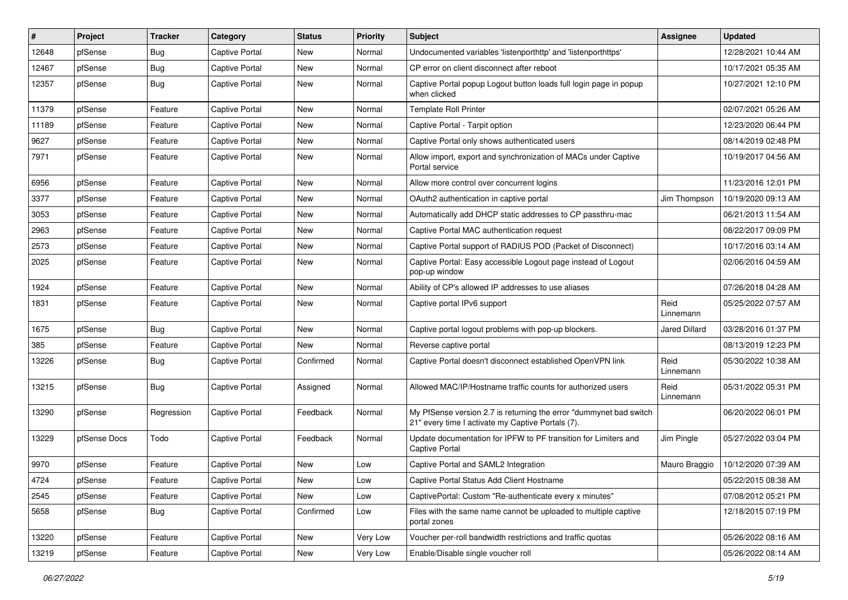| #     | Project      | <b>Tracker</b> | Category              | <b>Status</b> | <b>Priority</b> | Subject                                                                                                                 | <b>Assignee</b>      | <b>Updated</b>      |
|-------|--------------|----------------|-----------------------|---------------|-----------------|-------------------------------------------------------------------------------------------------------------------------|----------------------|---------------------|
| 12648 | pfSense      | <b>Bug</b>     | Captive Portal        | New           | Normal          | Undocumented variables 'listenporthttp' and 'listenporthttps'                                                           |                      | 12/28/2021 10:44 AM |
| 12467 | pfSense      | <b>Bug</b>     | <b>Captive Portal</b> | New           | Normal          | CP error on client disconnect after reboot                                                                              |                      | 10/17/2021 05:35 AM |
| 12357 | pfSense      | Bug            | Captive Portal        | New           | Normal          | Captive Portal popup Logout button loads full login page in popup<br>when clicked                                       |                      | 10/27/2021 12:10 PM |
| 11379 | pfSense      | Feature        | Captive Portal        | New           | Normal          | <b>Template Roll Printer</b>                                                                                            |                      | 02/07/2021 05:26 AM |
| 11189 | pfSense      | Feature        | Captive Portal        | New           | Normal          | Captive Portal - Tarpit option                                                                                          |                      | 12/23/2020 06:44 PM |
| 9627  | pfSense      | Feature        | <b>Captive Portal</b> | New           | Normal          | Captive Portal only shows authenticated users                                                                           |                      | 08/14/2019 02:48 PM |
| 7971  | pfSense      | Feature        | Captive Portal        | <b>New</b>    | Normal          | Allow import, export and synchronization of MACs under Captive<br>Portal service                                        |                      | 10/19/2017 04:56 AM |
| 6956  | pfSense      | Feature        | <b>Captive Portal</b> | New           | Normal          | Allow more control over concurrent logins                                                                               |                      | 11/23/2016 12:01 PM |
| 3377  | pfSense      | Feature        | Captive Portal        | New           | Normal          | OAuth2 authentication in captive portal                                                                                 | Jim Thompson         | 10/19/2020 09:13 AM |
| 3053  | pfSense      | Feature        | Captive Portal        | New           | Normal          | Automatically add DHCP static addresses to CP passthru-mac                                                              |                      | 06/21/2013 11:54 AM |
| 2963  | pfSense      | Feature        | Captive Portal        | New           | Normal          | Captive Portal MAC authentication request                                                                               |                      | 08/22/2017 09:09 PM |
| 2573  | pfSense      | Feature        | Captive Portal        | New           | Normal          | Captive Portal support of RADIUS POD (Packet of Disconnect)                                                             |                      | 10/17/2016 03:14 AM |
| 2025  | pfSense      | Feature        | <b>Captive Portal</b> | New           | Normal          | Captive Portal: Easy accessible Logout page instead of Logout<br>pop-up window                                          |                      | 02/06/2016 04:59 AM |
| 1924  | pfSense      | Feature        | Captive Portal        | New           | Normal          | Ability of CP's allowed IP addresses to use aliases                                                                     |                      | 07/26/2018 04:28 AM |
| 1831  | pfSense      | Feature        | Captive Portal        | New           | Normal          | Captive portal IPv6 support                                                                                             | Reid<br>Linnemann    | 05/25/2022 07:57 AM |
| 1675  | pfSense      | <b>Bug</b>     | <b>Captive Portal</b> | New           | Normal          | Captive portal logout problems with pop-up blockers.                                                                    | <b>Jared Dillard</b> | 03/28/2016 01:37 PM |
| 385   | pfSense      | Feature        | Captive Portal        | <b>New</b>    | Normal          | Reverse captive portal                                                                                                  |                      | 08/13/2019 12:23 PM |
| 13226 | pfSense      | <b>Bug</b>     | Captive Portal        | Confirmed     | Normal          | Captive Portal doesn't disconnect established OpenVPN link                                                              | Reid<br>Linnemann    | 05/30/2022 10:38 AM |
| 13215 | pfSense      | Bug            | Captive Portal        | Assigned      | Normal          | Allowed MAC/IP/Hostname traffic counts for authorized users                                                             | Reid<br>Linnemann    | 05/31/2022 05:31 PM |
| 13290 | pfSense      | Regression     | Captive Portal        | Feedback      | Normal          | My PfSense version 2.7 is returning the error "dummynet bad switch<br>21" every time I activate my Captive Portals (7). |                      | 06/20/2022 06:01 PM |
| 13229 | pfSense Docs | Todo           | Captive Portal        | Feedback      | Normal          | Update documentation for IPFW to PF transition for Limiters and<br>Captive Portal                                       | Jim Pingle           | 05/27/2022 03:04 PM |
| 9970  | pfSense      | Feature        | Captive Portal        | New           | Low             | Captive Portal and SAML2 Integration                                                                                    | Mauro Braggio        | 10/12/2020 07:39 AM |
| 4724  | pfSense      | Feature        | Captive Portal        | New           | LOW             | Captive Portal Status Add Client Hostname                                                                               |                      | 05/22/2015 08:38 AM |
| 2545  | pfSense      | Feature        | Captive Portal        | New           | Low             | CaptivePortal: Custom "Re-authenticate every x minutes"                                                                 |                      | 07/08/2012 05:21 PM |
| 5658  | pfSense      | <b>Bug</b>     | Captive Portal        | Confirmed     | Low             | Files with the same name cannot be uploaded to multiple captive<br>portal zones                                         |                      | 12/18/2015 07:19 PM |
| 13220 | pfSense      | Feature        | Captive Portal        | New           | Very Low        | Voucher per-roll bandwidth restrictions and traffic quotas                                                              |                      | 05/26/2022 08:16 AM |
| 13219 | pfSense      | Feature        | Captive Portal        | New           | Very Low        | Enable/Disable single voucher roll                                                                                      |                      | 05/26/2022 08:14 AM |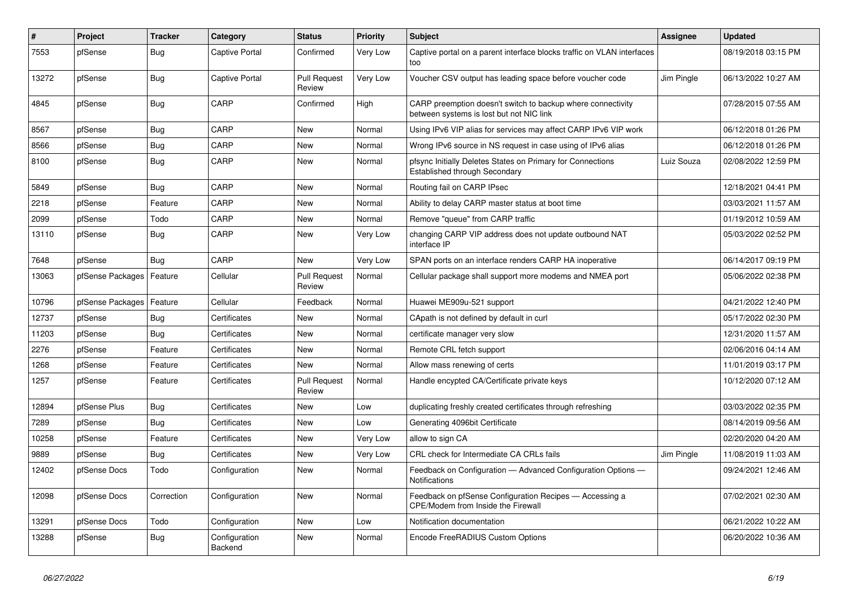| #     | Project          | <b>Tracker</b> | Category                 | <b>Status</b>                 | <b>Priority</b> | <b>Subject</b>                                                                                          | <b>Assignee</b> | <b>Updated</b>      |
|-------|------------------|----------------|--------------------------|-------------------------------|-----------------|---------------------------------------------------------------------------------------------------------|-----------------|---------------------|
| 7553  | pfSense          | <b>Bug</b>     | Captive Portal           | Confirmed                     | Very Low        | Captive portal on a parent interface blocks traffic on VLAN interfaces<br>too                           |                 | 08/19/2018 03:15 PM |
| 13272 | pfSense          | Bug            | <b>Captive Portal</b>    | <b>Pull Request</b><br>Review | Very Low        | Voucher CSV output has leading space before voucher code                                                | Jim Pingle      | 06/13/2022 10:27 AM |
| 4845  | pfSense          | <b>Bug</b>     | CARP                     | Confirmed                     | High            | CARP preemption doesn't switch to backup where connectivity<br>between systems is lost but not NIC link |                 | 07/28/2015 07:55 AM |
| 8567  | pfSense          | <b>Bug</b>     | CARP                     | <b>New</b>                    | Normal          | Using IPv6 VIP alias for services may affect CARP IPv6 VIP work                                         |                 | 06/12/2018 01:26 PM |
| 8566  | pfSense          | <b>Bug</b>     | CARP                     | New                           | Normal          | Wrong IPv6 source in NS request in case using of IPv6 alias                                             |                 | 06/12/2018 01:26 PM |
| 8100  | pfSense          | <b>Bug</b>     | CARP                     | <b>New</b>                    | Normal          | pfsync Initially Deletes States on Primary for Connections<br>Established through Secondary             | Luiz Souza      | 02/08/2022 12:59 PM |
| 5849  | pfSense          | Bug            | CARP                     | <b>New</b>                    | Normal          | Routing fail on CARP IPsec                                                                              |                 | 12/18/2021 04:41 PM |
| 2218  | pfSense          | Feature        | CARP                     | <b>New</b>                    | Normal          | Ability to delay CARP master status at boot time                                                        |                 | 03/03/2021 11:57 AM |
| 2099  | pfSense          | Todo           | CARP                     | New                           | Normal          | Remove "queue" from CARP traffic                                                                        |                 | 01/19/2012 10:59 AM |
| 13110 | pfSense          | Bug            | CARP                     | New                           | Very Low        | changing CARP VIP address does not update outbound NAT<br>interface IP                                  |                 | 05/03/2022 02:52 PM |
| 7648  | pfSense          | Bug            | CARP                     | New                           | Very Low        | SPAN ports on an interface renders CARP HA inoperative                                                  |                 | 06/14/2017 09:19 PM |
| 13063 | pfSense Packages | Feature        | Cellular                 | <b>Pull Request</b><br>Review | Normal          | Cellular package shall support more modems and NMEA port                                                |                 | 05/06/2022 02:38 PM |
| 10796 | pfSense Packages | Feature        | Cellular                 | Feedback                      | Normal          | Huawei ME909u-521 support                                                                               |                 | 04/21/2022 12:40 PM |
| 12737 | pfSense          | Bug            | Certificates             | New                           | Normal          | CApath is not defined by default in curl                                                                |                 | 05/17/2022 02:30 PM |
| 11203 | pfSense          | <b>Bug</b>     | Certificates             | New                           | Normal          | certificate manager very slow                                                                           |                 | 12/31/2020 11:57 AM |
| 2276  | pfSense          | Feature        | Certificates             | New                           | Normal          | Remote CRL fetch support                                                                                |                 | 02/06/2016 04:14 AM |
| 1268  | pfSense          | Feature        | Certificates             | <b>New</b>                    | Normal          | Allow mass renewing of certs                                                                            |                 | 11/01/2019 03:17 PM |
| 1257  | pfSense          | Feature        | Certificates             | <b>Pull Request</b><br>Review | Normal          | Handle encypted CA/Certificate private keys                                                             |                 | 10/12/2020 07:12 AM |
| 12894 | pfSense Plus     | Bug            | Certificates             | New                           | Low             | duplicating freshly created certificates through refreshing                                             |                 | 03/03/2022 02:35 PM |
| 7289  | pfSense          | Bug            | Certificates             | <b>New</b>                    | Low             | Generating 4096bit Certificate                                                                          |                 | 08/14/2019 09:56 AM |
| 10258 | pfSense          | Feature        | Certificates             | <b>New</b>                    | Very Low        | allow to sign CA                                                                                        |                 | 02/20/2020 04:20 AM |
| 9889  | pfSense          | <b>Bug</b>     | Certificates             | New                           | Very Low        | CRL check for Intermediate CA CRLs fails                                                                | Jim Pingle      | 11/08/2019 11:03 AM |
| 12402 | pfSense Docs     | Todo           | Configuration            | New                           | Normal          | Feedback on Configuration - Advanced Configuration Options -<br>Notifications                           |                 | 09/24/2021 12:46 AM |
| 12098 | pfSense Docs     | Correction     | Configuration            | New                           | Normal          | Feedback on pfSense Configuration Recipes - Accessing a<br>CPE/Modem from Inside the Firewall           |                 | 07/02/2021 02:30 AM |
| 13291 | pfSense Docs     | Todo           | Configuration            | <b>New</b>                    | Low             | Notification documentation                                                                              |                 | 06/21/2022 10:22 AM |
| 13288 | pfSense          | Bug            | Configuration<br>Backend | <b>New</b>                    | Normal          | Encode FreeRADIUS Custom Options                                                                        |                 | 06/20/2022 10:36 AM |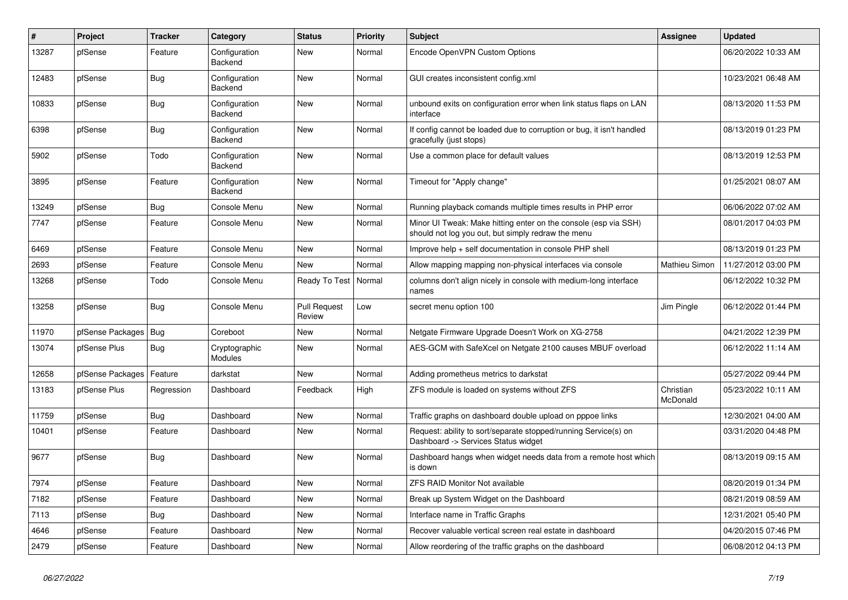| $\vert$ # | Project                | <b>Tracker</b> | Category                 | <b>Status</b>                 | <b>Priority</b> | <b>Subject</b>                                                                                                        | <b>Assignee</b>       | <b>Updated</b>      |
|-----------|------------------------|----------------|--------------------------|-------------------------------|-----------------|-----------------------------------------------------------------------------------------------------------------------|-----------------------|---------------------|
| 13287     | pfSense                | Feature        | Configuration<br>Backend | <b>New</b>                    | Normal          | Encode OpenVPN Custom Options                                                                                         |                       | 06/20/2022 10:33 AM |
| 12483     | pfSense                | Bug            | Configuration<br>Backend | <b>New</b>                    | Normal          | GUI creates inconsistent config.xml                                                                                   |                       | 10/23/2021 06:48 AM |
| 10833     | pfSense                | <b>Bug</b>     | Configuration<br>Backend | <b>New</b>                    | Normal          | unbound exits on configuration error when link status flaps on LAN<br>interface                                       |                       | 08/13/2020 11:53 PM |
| 6398      | pfSense                | Bug            | Configuration<br>Backend | <b>New</b>                    | Normal          | If config cannot be loaded due to corruption or bug, it isn't handled<br>gracefully (just stops)                      |                       | 08/13/2019 01:23 PM |
| 5902      | pfSense                | Todo           | Configuration<br>Backend | New                           | Normal          | Use a common place for default values                                                                                 |                       | 08/13/2019 12:53 PM |
| 3895      | pfSense                | Feature        | Configuration<br>Backend | <b>New</b>                    | Normal          | Timeout for "Apply change"                                                                                            |                       | 01/25/2021 08:07 AM |
| 13249     | pfSense                | <b>Bug</b>     | Console Menu             | <b>New</b>                    | Normal          | Running playback comands multiple times results in PHP error                                                          |                       | 06/06/2022 07:02 AM |
| 7747      | pfSense                | Feature        | Console Menu             | <b>New</b>                    | Normal          | Minor UI Tweak: Make hitting enter on the console (esp via SSH)<br>should not log you out, but simply redraw the menu |                       | 08/01/2017 04:03 PM |
| 6469      | pfSense                | Feature        | Console Menu             | <b>New</b>                    | Normal          | Improve help + self documentation in console PHP shell                                                                |                       | 08/13/2019 01:23 PM |
| 2693      | pfSense                | Feature        | Console Menu             | <b>New</b>                    | Normal          | Allow mapping mapping non-physical interfaces via console                                                             | Mathieu Simon         | 11/27/2012 03:00 PM |
| 13268     | pfSense                | Todo           | Console Menu             | Ready To Test                 | Normal          | columns don't align nicely in console with medium-long interface<br>names                                             |                       | 06/12/2022 10:32 PM |
| 13258     | pfSense                | <b>Bug</b>     | Console Menu             | <b>Pull Request</b><br>Review | Low             | secret menu option 100                                                                                                | Jim Pingle            | 06/12/2022 01:44 PM |
| 11970     | pfSense Packages   Bug |                | Coreboot                 | <b>New</b>                    | Normal          | Netgate Firmware Upgrade Doesn't Work on XG-2758                                                                      |                       | 04/21/2022 12:39 PM |
| 13074     | pfSense Plus           | Bug            | Cryptographic<br>Modules | New                           | Normal          | AES-GCM with SafeXcel on Netgate 2100 causes MBUF overload                                                            |                       | 06/12/2022 11:14 AM |
| 12658     | pfSense Packages       | Feature        | darkstat                 | <b>New</b>                    | Normal          | Adding prometheus metrics to darkstat                                                                                 |                       | 05/27/2022 09:44 PM |
| 13183     | pfSense Plus           | Regression     | Dashboard                | Feedback                      | High            | ZFS module is loaded on systems without ZFS                                                                           | Christian<br>McDonald | 05/23/2022 10:11 AM |
| 11759     | pfSense                | Bug            | Dashboard                | New                           | Normal          | Traffic graphs on dashboard double upload on pppoe links                                                              |                       | 12/30/2021 04:00 AM |
| 10401     | pfSense                | Feature        | Dashboard                | <b>New</b>                    | Normal          | Request: ability to sort/separate stopped/running Service(s) on<br>Dashboard -> Services Status widget                |                       | 03/31/2020 04:48 PM |
| 9677      | pfSense                | <b>Bug</b>     | Dashboard                | New                           | Normal          | Dashboard hangs when widget needs data from a remote host which<br>is down                                            |                       | 08/13/2019 09:15 AM |
| 7974      | pfSense                | Feature        | Dashboard                | <b>New</b>                    | Normal          | ZFS RAID Monitor Not available                                                                                        |                       | 08/20/2019 01:34 PM |
| 7182      | pfSense                | Feature        | Dashboard                | <b>New</b>                    | Normal          | Break up System Widget on the Dashboard                                                                               |                       | 08/21/2019 08:59 AM |
| 7113      | pfSense                | <b>Bug</b>     | Dashboard                | <b>New</b>                    | Normal          | Interface name in Traffic Graphs                                                                                      |                       | 12/31/2021 05:40 PM |
| 4646      | pfSense                | Feature        | Dashboard                | <b>New</b>                    | Normal          | Recover valuable vertical screen real estate in dashboard                                                             |                       | 04/20/2015 07:46 PM |
| 2479      | pfSense                | Feature        | Dashboard                | <b>New</b>                    | Normal          | Allow reordering of the traffic graphs on the dashboard                                                               |                       | 06/08/2012 04:13 PM |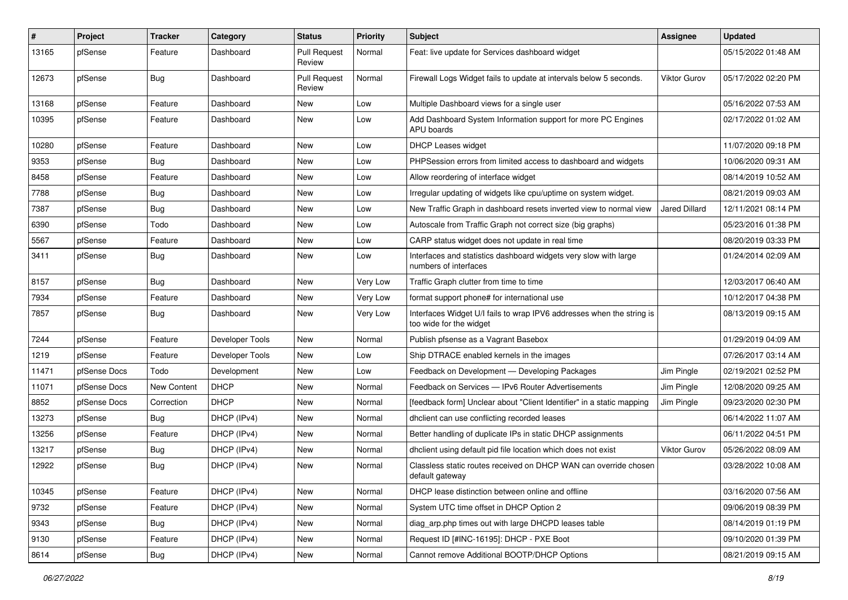| #     | Project      | Tracker     | Category        | <b>Status</b>                 | <b>Priority</b> | Subject                                                                                          | <b>Assignee</b>     | <b>Updated</b>      |
|-------|--------------|-------------|-----------------|-------------------------------|-----------------|--------------------------------------------------------------------------------------------------|---------------------|---------------------|
| 13165 | pfSense      | Feature     | Dashboard       | <b>Pull Request</b><br>Review | Normal          | Feat: live update for Services dashboard widget                                                  |                     | 05/15/2022 01:48 AM |
| 12673 | pfSense      | <b>Bug</b>  | Dashboard       | <b>Pull Request</b><br>Review | Normal          | Firewall Logs Widget fails to update at intervals below 5 seconds.                               | <b>Viktor Gurov</b> | 05/17/2022 02:20 PM |
| 13168 | pfSense      | Feature     | Dashboard       | <b>New</b>                    | Low             | Multiple Dashboard views for a single user                                                       |                     | 05/16/2022 07:53 AM |
| 10395 | pfSense      | Feature     | Dashboard       | New                           | Low             | Add Dashboard System Information support for more PC Engines<br>APU boards                       |                     | 02/17/2022 01:02 AM |
| 10280 | pfSense      | Feature     | Dashboard       | New                           | Low             | <b>DHCP Leases widget</b>                                                                        |                     | 11/07/2020 09:18 PM |
| 9353  | pfSense      | <b>Bug</b>  | Dashboard       | New                           | Low             | PHPSession errors from limited access to dashboard and widgets                                   |                     | 10/06/2020 09:31 AM |
| 8458  | pfSense      | Feature     | Dashboard       | New                           | Low             | Allow reordering of interface widget                                                             |                     | 08/14/2019 10:52 AM |
| 7788  | pfSense      | <b>Bug</b>  | Dashboard       | New                           | Low             | Irregular updating of widgets like cpu/uptime on system widget.                                  |                     | 08/21/2019 09:03 AM |
| 7387  | pfSense      | <b>Bug</b>  | Dashboard       | New                           | Low             | New Traffic Graph in dashboard resets inverted view to normal view                               | Jared Dillard       | 12/11/2021 08:14 PM |
| 6390  | pfSense      | Todo        | Dashboard       | <b>New</b>                    | Low             | Autoscale from Traffic Graph not correct size (big graphs)                                       |                     | 05/23/2016 01:38 PM |
| 5567  | pfSense      | Feature     | Dashboard       | New                           | Low             | CARP status widget does not update in real time                                                  |                     | 08/20/2019 03:33 PM |
| 3411  | pfSense      | <b>Bug</b>  | Dashboard       | <b>New</b>                    | Low             | Interfaces and statistics dashboard widgets very slow with large<br>numbers of interfaces        |                     | 01/24/2014 02:09 AM |
| 8157  | pfSense      | <b>Bug</b>  | Dashboard       | <b>New</b>                    | Very Low        | Traffic Graph clutter from time to time                                                          |                     | 12/03/2017 06:40 AM |
| 7934  | pfSense      | Feature     | Dashboard       | <b>New</b>                    | Very Low        | format support phone# for international use                                                      |                     | 10/12/2017 04:38 PM |
| 7857  | pfSense      | Bug         | Dashboard       | New                           | Very Low        | Interfaces Widget U/I fails to wrap IPV6 addresses when the string is<br>too wide for the widget |                     | 08/13/2019 09:15 AM |
| 7244  | pfSense      | Feature     | Developer Tools | New                           | Normal          | Publish pfsense as a Vagrant Basebox                                                             |                     | 01/29/2019 04:09 AM |
| 1219  | pfSense      | Feature     | Developer Tools | New                           | Low             | Ship DTRACE enabled kernels in the images                                                        |                     | 07/26/2017 03:14 AM |
| 11471 | pfSense Docs | Todo        | Development     | <b>New</b>                    | Low             | Feedback on Development - Developing Packages                                                    | Jim Pingle          | 02/19/2021 02:52 PM |
| 11071 | pfSense Docs | New Content | <b>DHCP</b>     | New                           | Normal          | Feedback on Services - IPv6 Router Advertisements                                                | Jim Pingle          | 12/08/2020 09:25 AM |
| 8852  | pfSense Docs | Correction  | <b>DHCP</b>     | New                           | Normal          | [feedback form] Unclear about "Client Identifier" in a static mapping                            | Jim Pingle          | 09/23/2020 02:30 PM |
| 13273 | pfSense      | <b>Bug</b>  | DHCP (IPv4)     | New                           | Normal          | dhclient can use conflicting recorded leases                                                     |                     | 06/14/2022 11:07 AM |
| 13256 | pfSense      | Feature     | DHCP (IPv4)     | New                           | Normal          | Better handling of duplicate IPs in static DHCP assignments                                      |                     | 06/11/2022 04:51 PM |
| 13217 | pfSense      | <b>Bug</b>  | DHCP (IPv4)     | New                           | Normal          | dhclient using default pid file location which does not exist                                    | <b>Viktor Gurov</b> | 05/26/2022 08:09 AM |
| 12922 | pfSense      | <b>Bug</b>  | DHCP (IPv4)     | New                           | Normal          | Classless static routes received on DHCP WAN can override chosen<br>default gateway              |                     | 03/28/2022 10:08 AM |
| 10345 | pfSense      | Feature     | DHCP (IPv4)     | New                           | Normal          | DHCP lease distinction between online and offline                                                |                     | 03/16/2020 07:56 AM |
| 9732  | pfSense      | Feature     | DHCP (IPv4)     | New                           | Normal          | System UTC time offset in DHCP Option 2                                                          |                     | 09/06/2019 08:39 PM |
| 9343  | pfSense      | <b>Bug</b>  | DHCP (IPv4)     | New                           | Normal          | diag arp.php times out with large DHCPD leases table                                             |                     | 08/14/2019 01:19 PM |
| 9130  | pfSense      | Feature     | DHCP (IPv4)     | New                           | Normal          | Request ID [#INC-16195]: DHCP - PXE Boot                                                         |                     | 09/10/2020 01:39 PM |
| 8614  | pfSense      | Bug         | DHCP (IPv4)     | New                           | Normal          | Cannot remove Additional BOOTP/DHCP Options                                                      |                     | 08/21/2019 09:15 AM |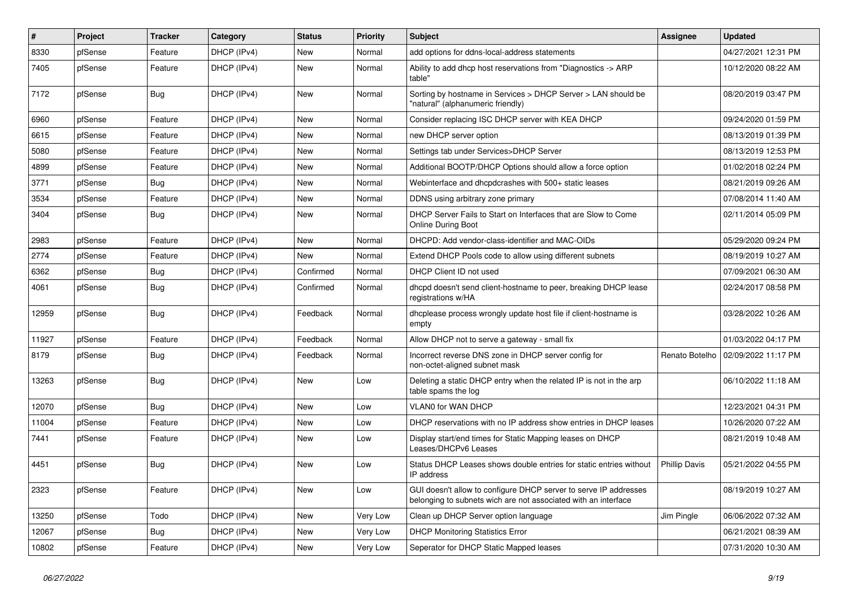| $\vert$ # | Project | <b>Tracker</b> | Category    | <b>Status</b> | <b>Priority</b> | Subject                                                                                                                            | <b>Assignee</b>      | <b>Updated</b>      |
|-----------|---------|----------------|-------------|---------------|-----------------|------------------------------------------------------------------------------------------------------------------------------------|----------------------|---------------------|
| 8330      | pfSense | Feature        | DHCP (IPv4) | New           | Normal          | add options for ddns-local-address statements                                                                                      |                      | 04/27/2021 12:31 PM |
| 7405      | pfSense | Feature        | DHCP (IPv4) | New           | Normal          | Ability to add dhcp host reservations from "Diagnostics -> ARP<br>table"                                                           |                      | 10/12/2020 08:22 AM |
| 7172      | pfSense | Bug            | DHCP (IPv4) | <b>New</b>    | Normal          | Sorting by hostname in Services > DHCP Server > LAN should be<br>"natural" (alphanumeric friendly)                                 |                      | 08/20/2019 03:47 PM |
| 6960      | pfSense | Feature        | DHCP (IPv4) | New           | Normal          | Consider replacing ISC DHCP server with KEA DHCP                                                                                   |                      | 09/24/2020 01:59 PM |
| 6615      | pfSense | Feature        | DHCP (IPv4) | <b>New</b>    | Normal          | new DHCP server option                                                                                                             |                      | 08/13/2019 01:39 PM |
| 5080      | pfSense | Feature        | DHCP (IPv4) | <b>New</b>    | Normal          | Settings tab under Services>DHCP Server                                                                                            |                      | 08/13/2019 12:53 PM |
| 4899      | pfSense | Feature        | DHCP (IPv4) | New           | Normal          | Additional BOOTP/DHCP Options should allow a force option                                                                          |                      | 01/02/2018 02:24 PM |
| 3771      | pfSense | Bug            | DHCP (IPv4) | <b>New</b>    | Normal          | Webinterface and dhcpdcrashes with 500+ static leases                                                                              |                      | 08/21/2019 09:26 AM |
| 3534      | pfSense | Feature        | DHCP (IPv4) | New           | Normal          | DDNS using arbitrary zone primary                                                                                                  |                      | 07/08/2014 11:40 AM |
| 3404      | pfSense | Bug            | DHCP (IPv4) | <b>New</b>    | Normal          | DHCP Server Fails to Start on Interfaces that are Slow to Come<br><b>Online During Boot</b>                                        |                      | 02/11/2014 05:09 PM |
| 2983      | pfSense | Feature        | DHCP (IPv4) | New           | Normal          | DHCPD: Add vendor-class-identifier and MAC-OIDs                                                                                    |                      | 05/29/2020 09:24 PM |
| 2774      | pfSense | Feature        | DHCP (IPv4) | New           | Normal          | Extend DHCP Pools code to allow using different subnets                                                                            |                      | 08/19/2019 10:27 AM |
| 6362      | pfSense | <b>Bug</b>     | DHCP (IPv4) | Confirmed     | Normal          | DHCP Client ID not used                                                                                                            |                      | 07/09/2021 06:30 AM |
| 4061      | pfSense | <b>Bug</b>     | DHCP (IPv4) | Confirmed     | Normal          | dhcpd doesn't send client-hostname to peer, breaking DHCP lease<br>registrations w/HA                                              |                      | 02/24/2017 08:58 PM |
| 12959     | pfSense | Bug            | DHCP (IPv4) | Feedback      | Normal          | dhcplease process wrongly update host file if client-hostname is<br>empty                                                          |                      | 03/28/2022 10:26 AM |
| 11927     | pfSense | Feature        | DHCP (IPv4) | Feedback      | Normal          | Allow DHCP not to serve a gateway - small fix                                                                                      |                      | 01/03/2022 04:17 PM |
| 8179      | pfSense | <b>Bug</b>     | DHCP (IPv4) | Feedback      | Normal          | Incorrect reverse DNS zone in DHCP server config for<br>non-octet-aligned subnet mask                                              | Renato Botelho       | 02/09/2022 11:17 PM |
| 13263     | pfSense | <b>Bug</b>     | DHCP (IPv4) | <b>New</b>    | Low             | Deleting a static DHCP entry when the related IP is not in the arp<br>table spams the log                                          |                      | 06/10/2022 11:18 AM |
| 12070     | pfSense | Bug            | DHCP (IPv4) | <b>New</b>    | Low             | VLAN0 for WAN DHCP                                                                                                                 |                      | 12/23/2021 04:31 PM |
| 11004     | pfSense | Feature        | DHCP (IPv4) | New           | Low             | DHCP reservations with no IP address show entries in DHCP leases                                                                   |                      | 10/26/2020 07:22 AM |
| 7441      | pfSense | Feature        | DHCP (IPv4) | New           | Low             | Display start/end times for Static Mapping leases on DHCP<br>Leases/DHCPv6 Leases                                                  |                      | 08/21/2019 10:48 AM |
| 4451      | pfSense | <b>Bug</b>     | DHCP (IPv4) | <b>New</b>    | Low             | Status DHCP Leases shows double entries for static entries without<br>IP address                                                   | <b>Phillip Davis</b> | 05/21/2022 04:55 PM |
| 2323      | pfSense | Feature        | DHCP (IPv4) | New           | Low             | GUI doesn't allow to configure DHCP server to serve IP addresses<br>belonging to subnets wich are not associated with an interface |                      | 08/19/2019 10:27 AM |
| 13250     | pfSense | Todo           | DHCP (IPv4) | New           | Very Low        | Clean up DHCP Server option language                                                                                               | Jim Pingle           | 06/06/2022 07:32 AM |
| 12067     | pfSense | Bug            | DHCP (IPv4) | New           | Very Low        | <b>DHCP Monitoring Statistics Error</b>                                                                                            |                      | 06/21/2021 08:39 AM |
| 10802     | pfSense | Feature        | DHCP (IPv4) | New           | Very Low        | Seperator for DHCP Static Mapped leases                                                                                            |                      | 07/31/2020 10:30 AM |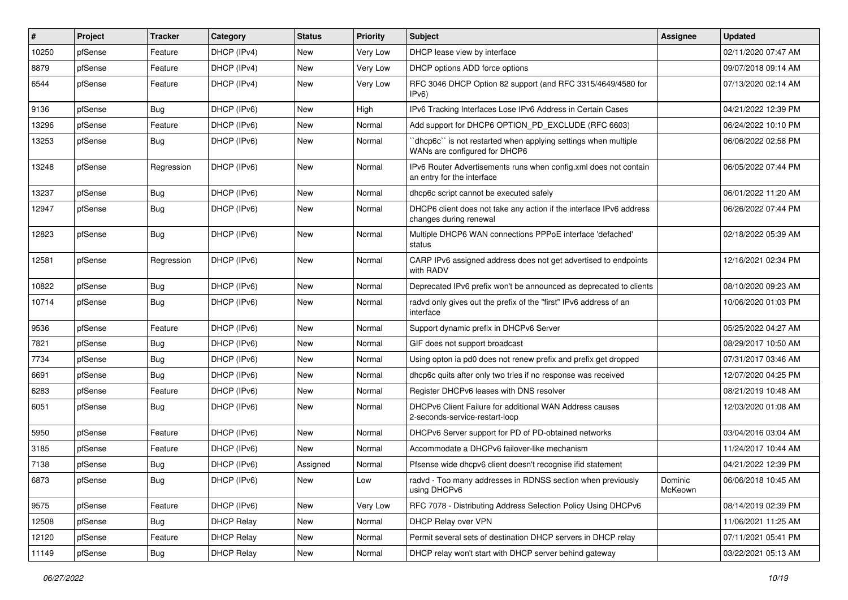| #     | Project | <b>Tracker</b> | Category          | <b>Status</b> | <b>Priority</b> | Subject                                                                                         | <b>Assignee</b>    | <b>Updated</b>      |
|-------|---------|----------------|-------------------|---------------|-----------------|-------------------------------------------------------------------------------------------------|--------------------|---------------------|
| 10250 | pfSense | Feature        | DHCP (IPv4)       | New           | Very Low        | DHCP lease view by interface                                                                    |                    | 02/11/2020 07:47 AM |
| 8879  | pfSense | Feature        | DHCP (IPv4)       | New           | Very Low        | DHCP options ADD force options                                                                  |                    | 09/07/2018 09:14 AM |
| 6544  | pfSense | Feature        | DHCP (IPv4)       | New           | Very Low        | RFC 3046 DHCP Option 82 support (and RFC 3315/4649/4580 for<br>IPv6                             |                    | 07/13/2020 02:14 AM |
| 9136  | pfSense | Bug            | DHCP (IPv6)       | New           | High            | IPv6 Tracking Interfaces Lose IPv6 Address in Certain Cases                                     |                    | 04/21/2022 12:39 PM |
| 13296 | pfSense | Feature        | DHCP (IPv6)       | New           | Normal          | Add support for DHCP6 OPTION_PD_EXCLUDE (RFC 6603)                                              |                    | 06/24/2022 10:10 PM |
| 13253 | pfSense | <b>Bug</b>     | DHCP (IPv6)       | New           | Normal          | 'dhcp6c' is not restarted when applying settings when multiple<br>WANs are configured for DHCP6 |                    | 06/06/2022 02:58 PM |
| 13248 | pfSense | Regression     | DHCP (IPv6)       | New           | Normal          | IPv6 Router Advertisements runs when config.xml does not contain<br>an entry for the interface  |                    | 06/05/2022 07:44 PM |
| 13237 | pfSense | <b>Bug</b>     | DHCP (IPv6)       | New           | Normal          | dhcp6c script cannot be executed safely                                                         |                    | 06/01/2022 11:20 AM |
| 12947 | pfSense | Bug            | DHCP (IPv6)       | New           | Normal          | DHCP6 client does not take any action if the interface IPv6 address<br>changes during renewal   |                    | 06/26/2022 07:44 PM |
| 12823 | pfSense | Bug            | DHCP (IPv6)       | New           | Normal          | Multiple DHCP6 WAN connections PPPoE interface 'defached'<br>status                             |                    | 02/18/2022 05:39 AM |
| 12581 | pfSense | Regression     | DHCP (IPv6)       | New           | Normal          | CARP IPv6 assigned address does not get advertised to endpoints<br>with RADV                    |                    | 12/16/2021 02:34 PM |
| 10822 | pfSense | Bug            | DHCP (IPv6)       | New           | Normal          | Deprecated IPv6 prefix won't be announced as deprecated to clients                              |                    | 08/10/2020 09:23 AM |
| 10714 | pfSense | <b>Bug</b>     | DHCP (IPv6)       | New           | Normal          | radvd only gives out the prefix of the "first" IPv6 address of an<br>interface                  |                    | 10/06/2020 01:03 PM |
| 9536  | pfSense | Feature        | DHCP (IPv6)       | New           | Normal          | Support dynamic prefix in DHCPv6 Server                                                         |                    | 05/25/2022 04:27 AM |
| 7821  | pfSense | Bug            | DHCP (IPv6)       | New           | Normal          | GIF does not support broadcast                                                                  |                    | 08/29/2017 10:50 AM |
| 7734  | pfSense | <b>Bug</b>     | DHCP (IPv6)       | New           | Normal          | Using opton ia pd0 does not renew prefix and prefix get dropped                                 |                    | 07/31/2017 03:46 AM |
| 6691  | pfSense | Bug            | DHCP (IPv6)       | New           | Normal          | dhcp6c quits after only two tries if no response was received                                   |                    | 12/07/2020 04:25 PM |
| 6283  | pfSense | Feature        | DHCP (IPv6)       | New           | Normal          | Register DHCPv6 leases with DNS resolver                                                        |                    | 08/21/2019 10:48 AM |
| 6051  | pfSense | <b>Bug</b>     | DHCP (IPv6)       | New           | Normal          | DHCPv6 Client Failure for additional WAN Address causes<br>2-seconds-service-restart-loop       |                    | 12/03/2020 01:08 AM |
| 5950  | pfSense | Feature        | DHCP (IPv6)       | New           | Normal          | DHCPv6 Server support for PD of PD-obtained networks                                            |                    | 03/04/2016 03:04 AM |
| 3185  | pfSense | Feature        | DHCP (IPv6)       | <b>New</b>    | Normal          | Accommodate a DHCPv6 failover-like mechanism                                                    |                    | 11/24/2017 10:44 AM |
| 7138  | pfSense | <b>Bug</b>     | DHCP (IPv6)       | Assigned      | Normal          | Pfsense wide dhcpv6 client doesn't recognise ifid statement                                     |                    | 04/21/2022 12:39 PM |
| 6873  | pfSense | <b>Bug</b>     | DHCP (IPv6)       | New           | LOW             | radvd - Too many addresses in RDNSS section when previously<br>using DHCPv6                     | Dominic<br>McKeown | 06/06/2018 10:45 AM |
| 9575  | pfSense | Feature        | DHCP (IPv6)       | New           | Very Low        | RFC 7078 - Distributing Address Selection Policy Using DHCPv6                                   |                    | 08/14/2019 02:39 PM |
| 12508 | pfSense | <b>Bug</b>     | <b>DHCP Relay</b> | New           | Normal          | DHCP Relay over VPN                                                                             |                    | 11/06/2021 11:25 AM |
| 12120 | pfSense | Feature        | <b>DHCP Relay</b> | New           | Normal          | Permit several sets of destination DHCP servers in DHCP relay                                   |                    | 07/11/2021 05:41 PM |
| 11149 | pfSense | Bug            | <b>DHCP Relay</b> | New           | Normal          | DHCP relay won't start with DHCP server behind gateway                                          |                    | 03/22/2021 05:13 AM |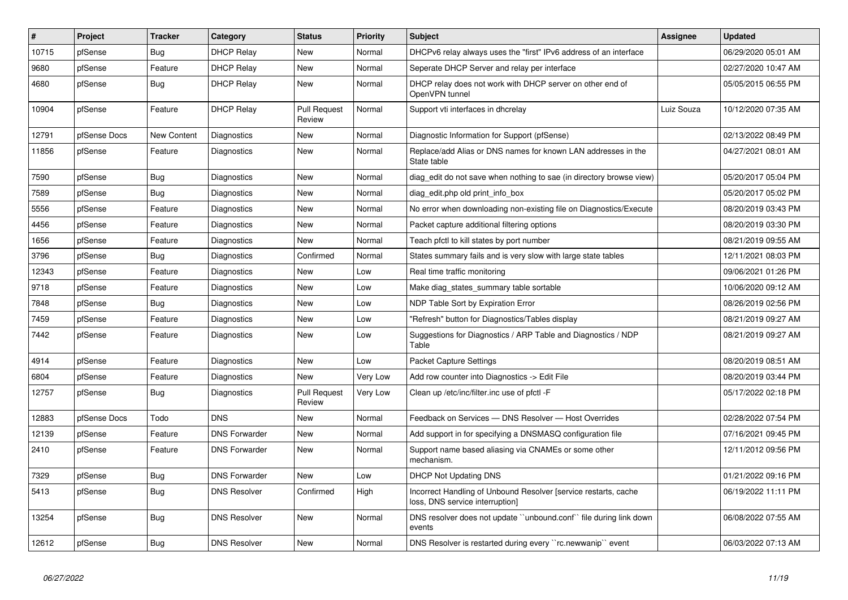| #     | <b>Project</b> | <b>Tracker</b>     | Category             | <b>Status</b>                 | Priority | <b>Subject</b>                                                                                     | Assignee   | <b>Updated</b>      |
|-------|----------------|--------------------|----------------------|-------------------------------|----------|----------------------------------------------------------------------------------------------------|------------|---------------------|
| 10715 | pfSense        | Bug                | <b>DHCP Relay</b>    | <b>New</b>                    | Normal   | DHCPv6 relay always uses the "first" IPv6 address of an interface                                  |            | 06/29/2020 05:01 AM |
| 9680  | pfSense        | Feature            | <b>DHCP Relay</b>    | New                           | Normal   | Seperate DHCP Server and relay per interface                                                       |            | 02/27/2020 10:47 AM |
| 4680  | pfSense        | <b>Bug</b>         | <b>DHCP Relay</b>    | <b>New</b>                    | Normal   | DHCP relay does not work with DHCP server on other end of<br>OpenVPN tunnel                        |            | 05/05/2015 06:55 PM |
| 10904 | pfSense        | Feature            | <b>DHCP Relay</b>    | <b>Pull Request</b><br>Review | Normal   | Support vti interfaces in dhcrelay                                                                 | Luiz Souza | 10/12/2020 07:35 AM |
| 12791 | pfSense Docs   | <b>New Content</b> | Diagnostics          | New                           | Normal   | Diagnostic Information for Support (pfSense)                                                       |            | 02/13/2022 08:49 PM |
| 11856 | pfSense        | Feature            | Diagnostics          | New                           | Normal   | Replace/add Alias or DNS names for known LAN addresses in the<br>State table                       |            | 04/27/2021 08:01 AM |
| 7590  | pfSense        | Bug                | Diagnostics          | New                           | Normal   | diag_edit do not save when nothing to sae (in directory browse view)                               |            | 05/20/2017 05:04 PM |
| 7589  | pfSense        | Bug                | Diagnostics          | <b>New</b>                    | Normal   | diag edit.php old print info box                                                                   |            | 05/20/2017 05:02 PM |
| 5556  | pfSense        | Feature            | Diagnostics          | New                           | Normal   | No error when downloading non-existing file on Diagnostics/Execute                                 |            | 08/20/2019 03:43 PM |
| 4456  | pfSense        | Feature            | Diagnostics          | <b>New</b>                    | Normal   | Packet capture additional filtering options                                                        |            | 08/20/2019 03:30 PM |
| 1656  | pfSense        | Feature            | Diagnostics          | <b>New</b>                    | Normal   | Teach pfctl to kill states by port number                                                          |            | 08/21/2019 09:55 AM |
| 3796  | pfSense        | Bug                | Diagnostics          | Confirmed                     | Normal   | States summary fails and is very slow with large state tables                                      |            | 12/11/2021 08:03 PM |
| 12343 | pfSense        | Feature            | Diagnostics          | <b>New</b>                    | Low      | Real time traffic monitoring                                                                       |            | 09/06/2021 01:26 PM |
| 9718  | pfSense        | Feature            | Diagnostics          | New                           | Low      | Make diag_states_summary table sortable                                                            |            | 10/06/2020 09:12 AM |
| 7848  | pfSense        | Bug                | Diagnostics          | New                           | Low      | NDP Table Sort by Expiration Error                                                                 |            | 08/26/2019 02:56 PM |
| 7459  | pfSense        | Feature            | Diagnostics          | New                           | Low      | "Refresh" button for Diagnostics/Tables display                                                    |            | 08/21/2019 09:27 AM |
| 7442  | pfSense        | Feature            | Diagnostics          | New                           | Low      | Suggestions for Diagnostics / ARP Table and Diagnostics / NDP<br>Table                             |            | 08/21/2019 09:27 AM |
| 4914  | pfSense        | Feature            | Diagnostics          | <b>New</b>                    | Low      | Packet Capture Settings                                                                            |            | 08/20/2019 08:51 AM |
| 6804  | pfSense        | Feature            | Diagnostics          | <b>New</b>                    | Very Low | Add row counter into Diagnostics -> Edit File                                                      |            | 08/20/2019 03:44 PM |
| 12757 | pfSense        | Bug                | Diagnostics          | <b>Pull Request</b><br>Review | Very Low | Clean up /etc/inc/filter.inc use of pfctl -F                                                       |            | 05/17/2022 02:18 PM |
| 12883 | pfSense Docs   | Todo               | <b>DNS</b>           | <b>New</b>                    | Normal   | Feedback on Services - DNS Resolver - Host Overrides                                               |            | 02/28/2022 07:54 PM |
| 12139 | pfSense        | Feature            | <b>DNS Forwarder</b> | <b>New</b>                    | Normal   | Add support in for specifying a DNSMASQ configuration file                                         |            | 07/16/2021 09:45 PM |
| 2410  | pfSense        | Feature            | <b>DNS Forwarder</b> | <b>New</b>                    | Normal   | Support name based aliasing via CNAMEs or some other<br>mechanism.                                 |            | 12/11/2012 09:56 PM |
| 7329  | pfSense        | Bug                | <b>DNS Forwarder</b> | New                           | Low      | <b>DHCP Not Updating DNS</b>                                                                       |            | 01/21/2022 09:16 PM |
| 5413  | pfSense        | Bug                | <b>DNS Resolver</b>  | Confirmed                     | High     | Incorrect Handling of Unbound Resolver [service restarts, cache<br>loss, DNS service interruption] |            | 06/19/2022 11:11 PM |
| 13254 | pfSense        | <b>Bug</b>         | <b>DNS Resolver</b>  | New                           | Normal   | DNS resolver does not update "unbound.conf" file during link down<br>events                        |            | 06/08/2022 07:55 AM |
| 12612 | pfSense        | <b>Bug</b>         | <b>DNS Resolver</b>  | New                           | Normal   | DNS Resolver is restarted during every "rc.newwanip" event                                         |            | 06/03/2022 07:13 AM |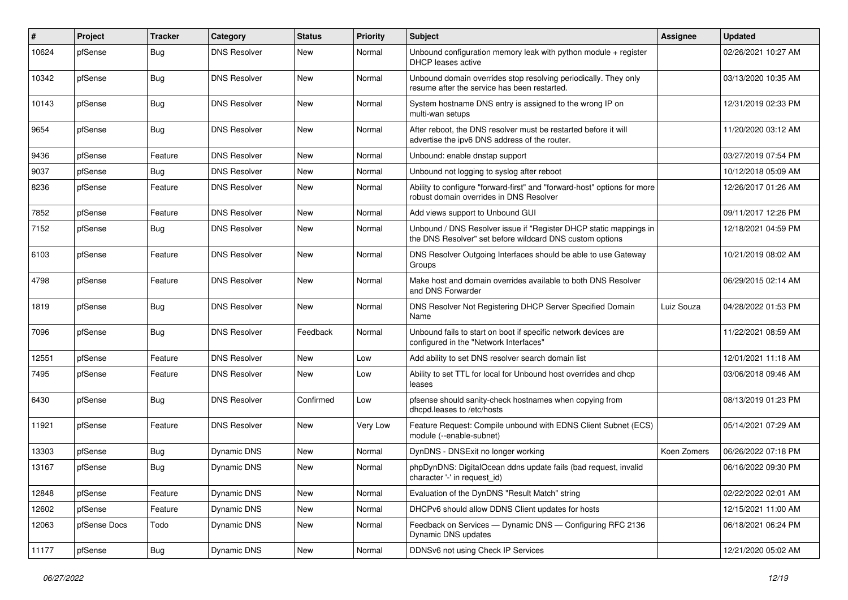| $\vert$ # | Project      | <b>Tracker</b> | Category            | <b>Status</b> | <b>Priority</b> | Subject                                                                                                                       | <b>Assignee</b> | <b>Updated</b>      |
|-----------|--------------|----------------|---------------------|---------------|-----------------|-------------------------------------------------------------------------------------------------------------------------------|-----------------|---------------------|
| 10624     | pfSense      | <b>Bug</b>     | <b>DNS Resolver</b> | New           | Normal          | Unbound configuration memory leak with python module + register<br><b>DHCP</b> leases active                                  |                 | 02/26/2021 10:27 AM |
| 10342     | pfSense      | Bug            | <b>DNS Resolver</b> | New           | Normal          | Unbound domain overrides stop resolving periodically. They only<br>resume after the service has been restarted.               |                 | 03/13/2020 10:35 AM |
| 10143     | pfSense      | <b>Bug</b>     | <b>DNS Resolver</b> | New           | Normal          | System hostname DNS entry is assigned to the wrong IP on<br>multi-wan setups                                                  |                 | 12/31/2019 02:33 PM |
| 9654      | pfSense      | <b>Bug</b>     | <b>DNS Resolver</b> | New           | Normal          | After reboot, the DNS resolver must be restarted before it will<br>advertise the ipv6 DNS address of the router.              |                 | 11/20/2020 03:12 AM |
| 9436      | pfSense      | Feature        | <b>DNS Resolver</b> | New           | Normal          | Unbound: enable dnstap support                                                                                                |                 | 03/27/2019 07:54 PM |
| 9037      | pfSense      | Bug            | <b>DNS Resolver</b> | New           | Normal          | Unbound not logging to syslog after reboot                                                                                    |                 | 10/12/2018 05:09 AM |
| 8236      | pfSense      | Feature        | <b>DNS Resolver</b> | New           | Normal          | Ability to configure "forward-first" and "forward-host" options for more<br>robust domain overrides in DNS Resolver           |                 | 12/26/2017 01:26 AM |
| 7852      | pfSense      | Feature        | <b>DNS Resolver</b> | New           | Normal          | Add views support to Unbound GUI                                                                                              |                 | 09/11/2017 12:26 PM |
| 7152      | pfSense      | <b>Bug</b>     | <b>DNS Resolver</b> | New           | Normal          | Unbound / DNS Resolver issue if "Register DHCP static mappings in<br>the DNS Resolver" set before wildcard DNS custom options |                 | 12/18/2021 04:59 PM |
| 6103      | pfSense      | Feature        | <b>DNS Resolver</b> | New           | Normal          | DNS Resolver Outgoing Interfaces should be able to use Gateway<br>Groups                                                      |                 | 10/21/2019 08:02 AM |
| 4798      | pfSense      | Feature        | <b>DNS Resolver</b> | New           | Normal          | Make host and domain overrides available to both DNS Resolver<br>and DNS Forwarder                                            |                 | 06/29/2015 02:14 AM |
| 1819      | pfSense      | <b>Bug</b>     | <b>DNS Resolver</b> | New           | Normal          | DNS Resolver Not Registering DHCP Server Specified Domain<br>Name                                                             | Luiz Souza      | 04/28/2022 01:53 PM |
| 7096      | pfSense      | Bug            | <b>DNS Resolver</b> | Feedback      | Normal          | Unbound fails to start on boot if specific network devices are<br>configured in the "Network Interfaces"                      |                 | 11/22/2021 08:59 AM |
| 12551     | pfSense      | Feature        | <b>DNS Resolver</b> | New           | Low             | Add ability to set DNS resolver search domain list                                                                            |                 | 12/01/2021 11:18 AM |
| 7495      | pfSense      | Feature        | <b>DNS Resolver</b> | New           | Low             | Ability to set TTL for local for Unbound host overrides and dhcp<br>leases                                                    |                 | 03/06/2018 09:46 AM |
| 6430      | pfSense      | <b>Bug</b>     | <b>DNS Resolver</b> | Confirmed     | Low             | pfsense should sanity-check hostnames when copying from<br>dhcpd.leases to /etc/hosts                                         |                 | 08/13/2019 01:23 PM |
| 11921     | pfSense      | Feature        | <b>DNS Resolver</b> | New           | Very Low        | Feature Request: Compile unbound with EDNS Client Subnet (ECS)<br>module (--enable-subnet)                                    |                 | 05/14/2021 07:29 AM |
| 13303     | pfSense      | Bug            | Dynamic DNS         | New           | Normal          | DynDNS - DNSExit no longer working                                                                                            | Koen Zomers     | 06/26/2022 07:18 PM |
| 13167     | pfSense      | Bug            | <b>Dynamic DNS</b>  | New           | Normal          | phpDynDNS: DigitalOcean ddns update fails (bad request, invalid<br>character '-' in request_id)                               |                 | 06/16/2022 09:30 PM |
| 12848     | pfSense      | Feature        | Dynamic DNS         | New           | Normal          | Evaluation of the DynDNS "Result Match" string                                                                                |                 | 02/22/2022 02:01 AM |
| 12602     | pfSense      | Feature        | Dynamic DNS         | New           | Normal          | DHCPv6 should allow DDNS Client updates for hosts                                                                             |                 | 12/15/2021 11:00 AM |
| 12063     | pfSense Docs | Todo           | Dynamic DNS         | New           | Normal          | Feedback on Services - Dynamic DNS - Configuring RFC 2136<br>Dynamic DNS updates                                              |                 | 06/18/2021 06:24 PM |
| 11177     | pfSense      | Bug            | Dynamic DNS         | New           | Normal          | DDNSv6 not using Check IP Services                                                                                            |                 | 12/21/2020 05:02 AM |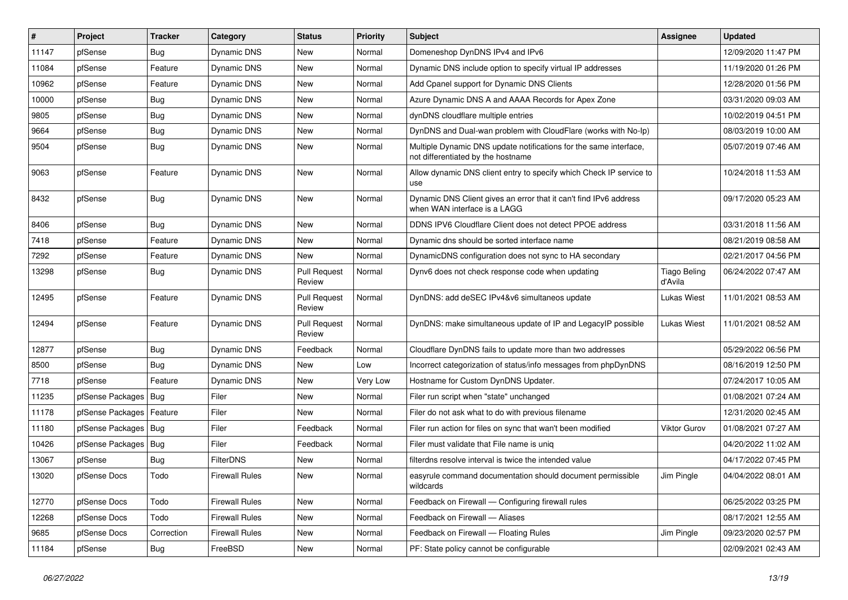| $\pmb{\sharp}$ | Project                | <b>Tracker</b> | Category              | <b>Status</b>                 | <b>Priority</b> | Subject                                                                                                 | Assignee                       | <b>Updated</b>      |
|----------------|------------------------|----------------|-----------------------|-------------------------------|-----------------|---------------------------------------------------------------------------------------------------------|--------------------------------|---------------------|
| 11147          | pfSense                | <b>Bug</b>     | Dynamic DNS           | New                           | Normal          | Domeneshop DynDNS IPv4 and IPv6                                                                         |                                | 12/09/2020 11:47 PM |
| 11084          | pfSense                | Feature        | Dynamic DNS           | <b>New</b>                    | Normal          | Dynamic DNS include option to specify virtual IP addresses                                              |                                | 11/19/2020 01:26 PM |
| 10962          | pfSense                | Feature        | Dynamic DNS           | New                           | Normal          | Add Cpanel support for Dynamic DNS Clients                                                              |                                | 12/28/2020 01:56 PM |
| 10000          | pfSense                | <b>Bug</b>     | Dynamic DNS           | <b>New</b>                    | Normal          | Azure Dynamic DNS A and AAAA Records for Apex Zone                                                      |                                | 03/31/2020 09:03 AM |
| 9805           | pfSense                | Bug            | Dynamic DNS           | <b>New</b>                    | Normal          | dynDNS cloudflare multiple entries                                                                      |                                | 10/02/2019 04:51 PM |
| 9664           | pfSense                | <b>Bug</b>     | Dynamic DNS           | <b>New</b>                    | Normal          | DynDNS and Dual-wan problem with CloudFlare (works with No-Ip)                                          |                                | 08/03/2019 10:00 AM |
| 9504           | pfSense                | <b>Bug</b>     | Dynamic DNS           | New                           | Normal          | Multiple Dynamic DNS update notifications for the same interface,<br>not differentiated by the hostname |                                | 05/07/2019 07:46 AM |
| 9063           | pfSense                | Feature        | Dynamic DNS           | New                           | Normal          | Allow dynamic DNS client entry to specify which Check IP service to<br>use                              |                                | 10/24/2018 11:53 AM |
| 8432           | pfSense                | <b>Bug</b>     | Dynamic DNS           | New                           | Normal          | Dynamic DNS Client gives an error that it can't find IPv6 address<br>when WAN interface is a LAGG       |                                | 09/17/2020 05:23 AM |
| 8406           | pfSense                | Bug            | Dynamic DNS           | <b>New</b>                    | Normal          | DDNS IPV6 Cloudflare Client does not detect PPOE address                                                |                                | 03/31/2018 11:56 AM |
| 7418           | pfSense                | Feature        | <b>Dynamic DNS</b>    | New                           | Normal          | Dynamic dns should be sorted interface name                                                             |                                | 08/21/2019 08:58 AM |
| 7292           | pfSense                | Feature        | Dynamic DNS           | New                           | Normal          | DynamicDNS configuration does not sync to HA secondary                                                  |                                | 02/21/2017 04:56 PM |
| 13298          | pfSense                | <b>Bug</b>     | Dynamic DNS           | <b>Pull Request</b><br>Review | Normal          | Dynv6 does not check response code when updating                                                        | <b>Tiago Beling</b><br>d'Avila | 06/24/2022 07:47 AM |
| 12495          | pfSense                | Feature        | Dynamic DNS           | <b>Pull Request</b><br>Review | Normal          | DynDNS: add deSEC IPv4&v6 simultaneos update                                                            | <b>Lukas Wiest</b>             | 11/01/2021 08:53 AM |
| 12494          | pfSense                | Feature        | Dynamic DNS           | <b>Pull Request</b><br>Review | Normal          | DynDNS: make simultaneous update of IP and LegacyIP possible                                            | <b>Lukas Wiest</b>             | 11/01/2021 08:52 AM |
| 12877          | pfSense                | <b>Bug</b>     | Dynamic DNS           | Feedback                      | Normal          | Cloudflare DynDNS fails to update more than two addresses                                               |                                | 05/29/2022 06:56 PM |
| 8500           | pfSense                | <b>Bug</b>     | Dynamic DNS           | <b>New</b>                    | Low             | Incorrect categorization of status/info messages from phpDynDNS                                         |                                | 08/16/2019 12:50 PM |
| 7718           | pfSense                | Feature        | <b>Dynamic DNS</b>    | <b>New</b>                    | Very Low        | Hostname for Custom DynDNS Updater.                                                                     |                                | 07/24/2017 10:05 AM |
| 11235          | pfSense Packages       | Bug            | Filer                 | New                           | Normal          | Filer run script when "state" unchanged                                                                 |                                | 01/08/2021 07:24 AM |
| 11178          | pfSense Packages       | Feature        | Filer                 | <b>New</b>                    | Normal          | Filer do not ask what to do with previous filename                                                      |                                | 12/31/2020 02:45 AM |
| 11180          | pfSense Packages       | Bug            | Filer                 | Feedback                      | Normal          | Filer run action for files on sync that wan't been modified                                             | <b>Viktor Gurov</b>            | 01/08/2021 07:27 AM |
| 10426          | pfSense Packages   Bug |                | Filer                 | Feedback                      | Normal          | Filer must validate that File name is uniq                                                              |                                | 04/20/2022 11:02 AM |
| 13067          | pfSense                | Bug            | FilterDNS             | <b>New</b>                    | Normal          | filterdns resolve interval is twice the intended value                                                  |                                | 04/17/2022 07:45 PM |
| 13020          | pfSense Docs           | Todo           | <b>Firewall Rules</b> | New                           | Normal          | easyrule command documentation should document permissible<br>wildcards                                 | Jim Pingle                     | 04/04/2022 08:01 AM |
| 12770          | pfSense Docs           | Todo           | <b>Firewall Rules</b> | New                           | Normal          | Feedback on Firewall - Configuring firewall rules                                                       |                                | 06/25/2022 03:25 PM |
| 12268          | pfSense Docs           | Todo           | <b>Firewall Rules</b> | New                           | Normal          | Feedback on Firewall - Aliases                                                                          |                                | 08/17/2021 12:55 AM |
| 9685           | pfSense Docs           | Correction     | <b>Firewall Rules</b> | New                           | Normal          | Feedback on Firewall - Floating Rules                                                                   | Jim Pingle                     | 09/23/2020 02:57 PM |
| 11184          | pfSense                | Bug            | FreeBSD               | New                           | Normal          | PF: State policy cannot be configurable                                                                 |                                | 02/09/2021 02:43 AM |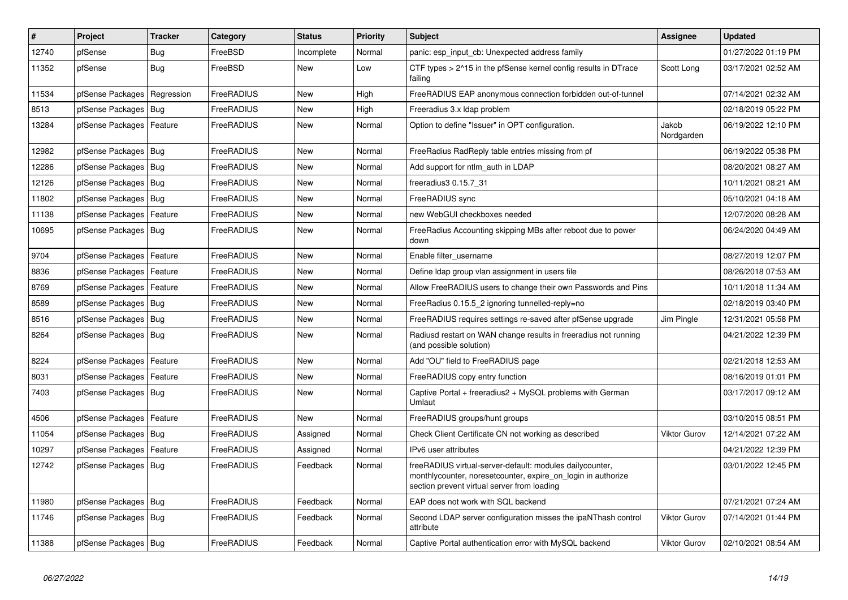| $\vert$ # | Project                | <b>Tracker</b> | Category   | <b>Status</b> | <b>Priority</b> | <b>Subject</b>                                                                                                                                                          | <b>Assignee</b>     | <b>Updated</b>      |
|-----------|------------------------|----------------|------------|---------------|-----------------|-------------------------------------------------------------------------------------------------------------------------------------------------------------------------|---------------------|---------------------|
| 12740     | pfSense                | Bug            | FreeBSD    | Incomplete    | Normal          | panic: esp input cb: Unexpected address family                                                                                                                          |                     | 01/27/2022 01:19 PM |
| 11352     | pfSense                | Bug            | FreeBSD    | <b>New</b>    | Low             | CTF types > 2^15 in the pfSense kernel config results in DTrace<br>failing                                                                                              | Scott Long          | 03/17/2021 02:52 AM |
| 11534     | pfSense Packages       | Regression     | FreeRADIUS | <b>New</b>    | High            | FreeRADIUS EAP anonymous connection forbidden out-of-tunnel                                                                                                             |                     | 07/14/2021 02:32 AM |
| 8513      | pfSense Packages       | Bug            | FreeRADIUS | <b>New</b>    | High            | Freeradius 3.x Idap problem                                                                                                                                             |                     | 02/18/2019 05:22 PM |
| 13284     | pfSense Packages       | Feature        | FreeRADIUS | <b>New</b>    | Normal          | Option to define "Issuer" in OPT configuration.                                                                                                                         | Jakob<br>Nordgarden | 06/19/2022 12:10 PM |
| 12982     | pfSense Packages       | Bug            | FreeRADIUS | New           | Normal          | FreeRadius RadReply table entries missing from pf                                                                                                                       |                     | 06/19/2022 05:38 PM |
| 12286     | pfSense Packages       | Bug            | FreeRADIUS | <b>New</b>    | Normal          | Add support for ntlm auth in LDAP                                                                                                                                       |                     | 08/20/2021 08:27 AM |
| 12126     | pfSense Packages       | Bug            | FreeRADIUS | <b>New</b>    | Normal          | freeradius3 0.15.7 31                                                                                                                                                   |                     | 10/11/2021 08:21 AM |
| 11802     | pfSense Packages       | Bug            | FreeRADIUS | <b>New</b>    | Normal          | FreeRADIUS sync                                                                                                                                                         |                     | 05/10/2021 04:18 AM |
| 11138     | pfSense Packages       | Feature        | FreeRADIUS | <b>New</b>    | Normal          | new WebGUI checkboxes needed                                                                                                                                            |                     | 12/07/2020 08:28 AM |
| 10695     | pfSense Packages   Bug |                | FreeRADIUS | <b>New</b>    | Normal          | FreeRadius Accounting skipping MBs after reboot due to power<br>down                                                                                                    |                     | 06/24/2020 04:49 AM |
| 9704      | pfSense Packages       | Feature        | FreeRADIUS | <b>New</b>    | Normal          | Enable filter username                                                                                                                                                  |                     | 08/27/2019 12:07 PM |
| 8836      | pfSense Packages       | Feature        | FreeRADIUS | <b>New</b>    | Normal          | Define Idap group vlan assignment in users file                                                                                                                         |                     | 08/26/2018 07:53 AM |
| 8769      | pfSense Packages       | Feature        | FreeRADIUS | New           | Normal          | Allow FreeRADIUS users to change their own Passwords and Pins                                                                                                           |                     | 10/11/2018 11:34 AM |
| 8589      | pfSense Packages       | Bug            | FreeRADIUS | <b>New</b>    | Normal          | FreeRadius 0.15.5 2 ignoring tunnelled-reply=no                                                                                                                         |                     | 02/18/2019 03:40 PM |
| 8516      | pfSense Packages       | Bug            | FreeRADIUS | <b>New</b>    | Normal          | FreeRADIUS requires settings re-saved after pfSense upgrade                                                                                                             | Jim Pingle          | 12/31/2021 05:58 PM |
| 8264      | pfSense Packages       | Bug            | FreeRADIUS | <b>New</b>    | Normal          | Radiusd restart on WAN change results in freeradius not running<br>(and possible solution)                                                                              |                     | 04/21/2022 12:39 PM |
| 8224      | pfSense Packages       | Feature        | FreeRADIUS | New           | Normal          | Add "OU" field to FreeRADIUS page                                                                                                                                       |                     | 02/21/2018 12:53 AM |
| 8031      | pfSense Packages       | Feature        | FreeRADIUS | <b>New</b>    | Normal          | FreeRADIUS copy entry function                                                                                                                                          |                     | 08/16/2019 01:01 PM |
| 7403      | pfSense Packages       | l Bug          | FreeRADIUS | New           | Normal          | Captive Portal + freeradius2 + MySQL problems with German<br>Umlaut                                                                                                     |                     | 03/17/2017 09:12 AM |
| 4506      | pfSense Packages       | Feature        | FreeRADIUS | <b>New</b>    | Normal          | FreeRADIUS groups/hunt groups                                                                                                                                           |                     | 03/10/2015 08:51 PM |
| 11054     | pfSense Packages       | l Bug          | FreeRADIUS | Assigned      | Normal          | Check Client Certificate CN not working as described                                                                                                                    | <b>Viktor Gurov</b> | 12/14/2021 07:22 AM |
| 10297     | pfSense Packages       | Feature        | FreeRADIUS | Assigned      | Normal          | IPv6 user attributes                                                                                                                                                    |                     | 04/21/2022 12:39 PM |
| 12742     | pfSense Packages   Bug |                | FreeRADIUS | Feedback      | Normal          | freeRADIUS virtual-server-default: modules dailycounter,<br>monthlycounter, noresetcounter, expire on login in authorize<br>section prevent virtual server from loading |                     | 03/01/2022 12:45 PM |
| 11980     | pfSense Packages       | Bug            | FreeRADIUS | Feedback      | Normal          | EAP does not work with SQL backend                                                                                                                                      |                     | 07/21/2021 07:24 AM |
| 11746     | pfSense Packages       | Bug            | FreeRADIUS | Feedback      | Normal          | Second LDAP server configuration misses the ipaNThash control<br>attribute                                                                                              | <b>Viktor Gurov</b> | 07/14/2021 01:44 PM |
| 11388     | pfSense Packages   Bug |                | FreeRADIUS | Feedback      | Normal          | Captive Portal authentication error with MySQL backend                                                                                                                  | <b>Viktor Gurov</b> | 02/10/2021 08:54 AM |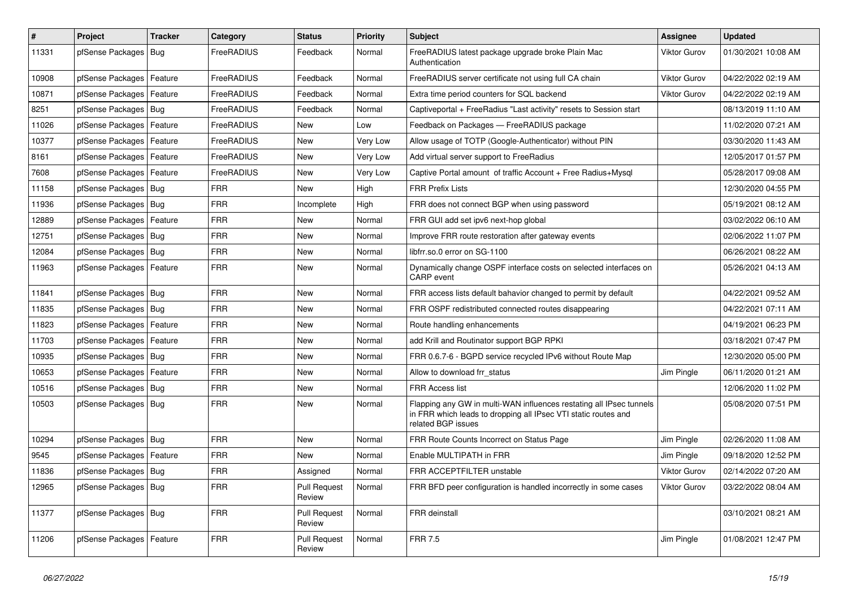| #     | Project                    | <b>Tracker</b> | Category          | <b>Status</b>                 | <b>Priority</b> | <b>Subject</b>                                                                                                                                              | <b>Assignee</b>     | <b>Updated</b>      |
|-------|----------------------------|----------------|-------------------|-------------------------------|-----------------|-------------------------------------------------------------------------------------------------------------------------------------------------------------|---------------------|---------------------|
| 11331 | pfSense Packages   Bug     |                | FreeRADIUS        | Feedback                      | Normal          | FreeRADIUS latest package upgrade broke Plain Mac<br>Authentication                                                                                         | <b>Viktor Gurov</b> | 01/30/2021 10:08 AM |
| 10908 | pfSense Packages   Feature |                | FreeRADIUS        | Feedback                      | Normal          | FreeRADIUS server certificate not using full CA chain                                                                                                       | <b>Viktor Gurov</b> | 04/22/2022 02:19 AM |
| 10871 | pfSense Packages   Feature |                | FreeRADIUS        | Feedback                      | Normal          | Extra time period counters for SQL backend                                                                                                                  | <b>Viktor Gurov</b> | 04/22/2022 02:19 AM |
| 8251  | pfSense Packages   Bug     |                | FreeRADIUS        | Feedback                      | Normal          | Captiveportal + FreeRadius "Last activity" resets to Session start                                                                                          |                     | 08/13/2019 11:10 AM |
| 11026 | pfSense Packages   Feature |                | FreeRADIUS        | <b>New</b>                    | Low             | Feedback on Packages - FreeRADIUS package                                                                                                                   |                     | 11/02/2020 07:21 AM |
| 10377 | pfSense Packages   Feature |                | <b>FreeRADIUS</b> | New                           | Very Low        | Allow usage of TOTP (Google-Authenticator) without PIN                                                                                                      |                     | 03/30/2020 11:43 AM |
| 8161  | pfSense Packages   Feature |                | FreeRADIUS        | New                           | Very Low        | Add virtual server support to FreeRadius                                                                                                                    |                     | 12/05/2017 01:57 PM |
| 7608  | pfSense Packages   Feature |                | FreeRADIUS        | New                           | Very Low        | Captive Portal amount of traffic Account + Free Radius+Mysql                                                                                                |                     | 05/28/2017 09:08 AM |
| 11158 | pfSense Packages   Bug     |                | <b>FRR</b>        | New                           | High            | <b>FRR Prefix Lists</b>                                                                                                                                     |                     | 12/30/2020 04:55 PM |
| 11936 | pfSense Packages   Bug     |                | <b>FRR</b>        | Incomplete                    | High            | FRR does not connect BGP when using password                                                                                                                |                     | 05/19/2021 08:12 AM |
| 12889 | pfSense Packages   Feature |                | <b>FRR</b>        | New                           | Normal          | FRR GUI add set ipv6 next-hop global                                                                                                                        |                     | 03/02/2022 06:10 AM |
| 12751 | pfSense Packages   Bug     |                | <b>FRR</b>        | <b>New</b>                    | Normal          | Improve FRR route restoration after gateway events                                                                                                          |                     | 02/06/2022 11:07 PM |
| 12084 | pfSense Packages   Bug     |                | <b>FRR</b>        | New                           | Normal          | libfrr.so.0 error on SG-1100                                                                                                                                |                     | 06/26/2021 08:22 AM |
| 11963 | pfSense Packages   Feature |                | <b>FRR</b>        | New                           | Normal          | Dynamically change OSPF interface costs on selected interfaces on<br>CARP event                                                                             |                     | 05/26/2021 04:13 AM |
| 11841 | pfSense Packages   Bug     |                | <b>FRR</b>        | <b>New</b>                    | Normal          | FRR access lists default bahavior changed to permit by default                                                                                              |                     | 04/22/2021 09:52 AM |
| 11835 | pfSense Packages   Bug     |                | <b>FRR</b>        | New                           | Normal          | FRR OSPF redistributed connected routes disappearing                                                                                                        |                     | 04/22/2021 07:11 AM |
| 11823 | pfSense Packages   Feature |                | FRR               | <b>New</b>                    | Normal          | Route handling enhancements                                                                                                                                 |                     | 04/19/2021 06:23 PM |
| 11703 | pfSense Packages   Feature |                | <b>FRR</b>        | New                           | Normal          | add Krill and Routinator support BGP RPKI                                                                                                                   |                     | 03/18/2021 07:47 PM |
| 10935 | pfSense Packages   Bug     |                | FRR               | <b>New</b>                    | Normal          | FRR 0.6.7-6 - BGPD service recycled IPv6 without Route Map                                                                                                  |                     | 12/30/2020 05:00 PM |
| 10653 | pfSense Packages   Feature |                | <b>FRR</b>        | New                           | Normal          | Allow to download frr status                                                                                                                                | Jim Pingle          | 06/11/2020 01:21 AM |
| 10516 | pfSense Packages   Bug     |                | <b>FRR</b>        | <b>New</b>                    | Normal          | FRR Access list                                                                                                                                             |                     | 12/06/2020 11:02 PM |
| 10503 | pfSense Packages   Bug     |                | <b>FRR</b>        | New                           | Normal          | Flapping any GW in multi-WAN influences restating all IPsec tunnels<br>in FRR which leads to dropping all IPsec VTI static routes and<br>related BGP issues |                     | 05/08/2020 07:51 PM |
| 10294 | pfSense Packages   Bug     |                | <b>FRR</b>        | <b>New</b>                    | Normal          | FRR Route Counts Incorrect on Status Page                                                                                                                   | Jim Pingle          | 02/26/2020 11:08 AM |
| 9545  | pfSense Packages   Feature |                | <b>FRR</b>        | New                           | Normal          | Enable MULTIPATH in FRR                                                                                                                                     | Jim Pingle          | 09/18/2020 12:52 PM |
| 11836 | pfSense Packages   Bug     |                | <b>FRR</b>        | Assigned                      | Normal          | FRR ACCEPTFILTER unstable                                                                                                                                   | <b>Viktor Gurov</b> | 02/14/2022 07:20 AM |
| 12965 | pfSense Packages   Bug     |                | <b>FRR</b>        | <b>Pull Request</b><br>Review | Normal          | FRR BFD peer configuration is handled incorrectly in some cases                                                                                             | Viktor Gurov        | 03/22/2022 08:04 AM |
| 11377 | pfSense Packages   Bug     |                | <b>FRR</b>        | <b>Pull Request</b><br>Review | Normal          | FRR deinstall                                                                                                                                               |                     | 03/10/2021 08:21 AM |
| 11206 | pfSense Packages   Feature |                | <b>FRR</b>        | <b>Pull Request</b><br>Review | Normal          | <b>FRR 7.5</b>                                                                                                                                              | Jim Pingle          | 01/08/2021 12:47 PM |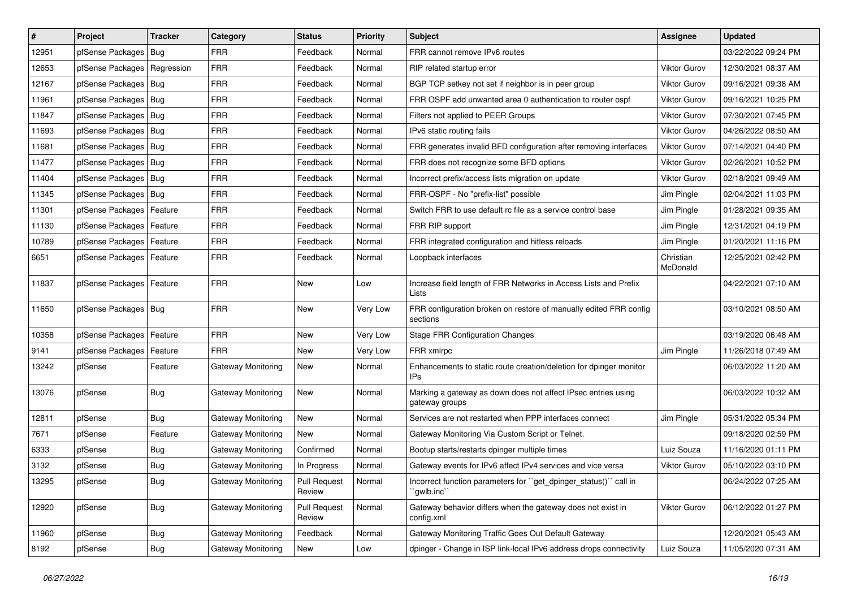| $\pmb{\sharp}$ | Project                    | <b>Tracker</b> | Category                  | <b>Status</b>                 | <b>Priority</b> | Subject                                                                         | Assignee              | <b>Updated</b>      |
|----------------|----------------------------|----------------|---------------------------|-------------------------------|-----------------|---------------------------------------------------------------------------------|-----------------------|---------------------|
| 12951          | pfSense Packages           | Bug            | <b>FRR</b>                | Feedback                      | Normal          | FRR cannot remove IPv6 routes                                                   |                       | 03/22/2022 09:24 PM |
| 12653          | pfSense Packages           | Regression     | <b>FRR</b>                | Feedback                      | Normal          | RIP related startup error                                                       | <b>Viktor Gurov</b>   | 12/30/2021 08:37 AM |
| 12167          | pfSense Packages   Bug     |                | <b>FRR</b>                | Feedback                      | Normal          | BGP TCP setkey not set if neighbor is in peer group                             | Viktor Gurov          | 09/16/2021 09:38 AM |
| 11961          | pfSense Packages   Bug     |                | <b>FRR</b>                | Feedback                      | Normal          | FRR OSPF add unwanted area 0 authentication to router ospf                      | <b>Viktor Gurov</b>   | 09/16/2021 10:25 PM |
| 11847          | pfSense Packages           | Bug            | <b>FRR</b>                | Feedback                      | Normal          | Filters not applied to PEER Groups                                              | Viktor Gurov          | 07/30/2021 07:45 PM |
| 11693          | pfSense Packages   Bug     |                | <b>FRR</b>                | Feedback                      | Normal          | IPv6 static routing fails                                                       | <b>Viktor Gurov</b>   | 04/26/2022 08:50 AM |
| 11681          | pfSense Packages   Bug     |                | <b>FRR</b>                | Feedback                      | Normal          | FRR generates invalid BFD configuration after removing interfaces               | Viktor Gurov          | 07/14/2021 04:40 PM |
| 11477          | pfSense Packages           | Bug            | <b>FRR</b>                | Feedback                      | Normal          | FRR does not recognize some BFD options                                         | <b>Viktor Gurov</b>   | 02/26/2021 10:52 PM |
| 11404          | pfSense Packages   Bug     |                | <b>FRR</b>                | Feedback                      | Normal          | Incorrect prefix/access lists migration on update                               | <b>Viktor Gurov</b>   | 02/18/2021 09:49 AM |
| 11345          | pfSense Packages           | Bug            | <b>FRR</b>                | Feedback                      | Normal          | FRR-OSPF - No "prefix-list" possible                                            | Jim Pingle            | 02/04/2021 11:03 PM |
| 11301          | pfSense Packages           | Feature        | <b>FRR</b>                | Feedback                      | Normal          | Switch FRR to use default rc file as a service control base                     | Jim Pingle            | 01/28/2021 09:35 AM |
| 11130          | pfSense Packages   Feature |                | <b>FRR</b>                | Feedback                      | Normal          | FRR RIP support                                                                 | Jim Pingle            | 12/31/2021 04:19 PM |
| 10789          | pfSense Packages           | Feature        | <b>FRR</b>                | Feedback                      | Normal          | FRR integrated configuration and hitless reloads                                | Jim Pingle            | 01/20/2021 11:16 PM |
| 6651           | pfSense Packages           | Feature        | <b>FRR</b>                | Feedback                      | Normal          | Loopback interfaces                                                             | Christian<br>McDonald | 12/25/2021 02:42 PM |
| 11837          | pfSense Packages   Feature |                | <b>FRR</b>                | <b>New</b>                    | Low             | Increase field length of FRR Networks in Access Lists and Prefix<br>Lists       |                       | 04/22/2021 07:10 AM |
| 11650          | pfSense Packages   Bug     |                | <b>FRR</b>                | <b>New</b>                    | Very Low        | FRR configuration broken on restore of manually edited FRR config<br>sections   |                       | 03/10/2021 08:50 AM |
| 10358          | pfSense Packages   Feature |                | <b>FRR</b>                | <b>New</b>                    | Very Low        | <b>Stage FRR Configuration Changes</b>                                          |                       | 03/19/2020 06:48 AM |
| 9141           | pfSense Packages           | Feature        | <b>FRR</b>                | <b>New</b>                    | Very Low        | FRR xmlrpc                                                                      | Jim Pingle            | 11/26/2018 07:49 AM |
| 13242          | pfSense                    | Feature        | Gateway Monitoring        | New                           | Normal          | Enhancements to static route creation/deletion for dpinger monitor<br>IPs       |                       | 06/03/2022 11:20 AM |
| 13076          | pfSense                    | Bug            | Gateway Monitoring        | <b>New</b>                    | Normal          | Marking a gateway as down does not affect IPsec entries using<br>gateway groups |                       | 06/03/2022 10:32 AM |
| 12811          | pfSense                    | Bug            | Gateway Monitoring        | <b>New</b>                    | Normal          | Services are not restarted when PPP interfaces connect                          | Jim Pingle            | 05/31/2022 05:34 PM |
| 7671           | pfSense                    | Feature        | <b>Gateway Monitoring</b> | New                           | Normal          | Gateway Monitoring Via Custom Script or Telnet.                                 |                       | 09/18/2020 02:59 PM |
| 6333           | pfSense                    | Bug            | Gateway Monitoring        | Confirmed                     | Normal          | Bootup starts/restarts dpinger multiple times                                   | Luiz Souza            | 11/16/2020 01:11 PM |
| 3132           | pfSense                    | <b>Bug</b>     | Gateway Monitoring        | In Progress                   | Normal          | Gateway events for IPv6 affect IPv4 services and vice versa                     | Viktor Gurov          | 05/10/2022 03:10 PM |
| 13295          | pfSense                    | Bug            | Gateway Monitoring        | <b>Pull Request</b><br>Review | Normal          | Incorrect function parameters for "get_dpinger_status()" call in<br>`gwlb.inc`` |                       | 06/24/2022 07:25 AM |
| 12920          | pfSense                    | Bug            | <b>Gateway Monitoring</b> | <b>Pull Request</b><br>Review | Normal          | Gateway behavior differs when the gateway does not exist in<br>config.xml       | Viktor Gurov          | 06/12/2022 01:27 PM |
| 11960          | pfSense                    | <b>Bug</b>     | <b>Gateway Monitoring</b> | Feedback                      | Normal          | Gateway Monitoring Traffic Goes Out Default Gateway                             |                       | 12/20/2021 05:43 AM |
| 8192           | pfSense                    | <b>Bug</b>     | Gateway Monitoring        | New                           | Low             | dpinger - Change in ISP link-local IPv6 address drops connectivity              | Luiz Souza            | 11/05/2020 07:31 AM |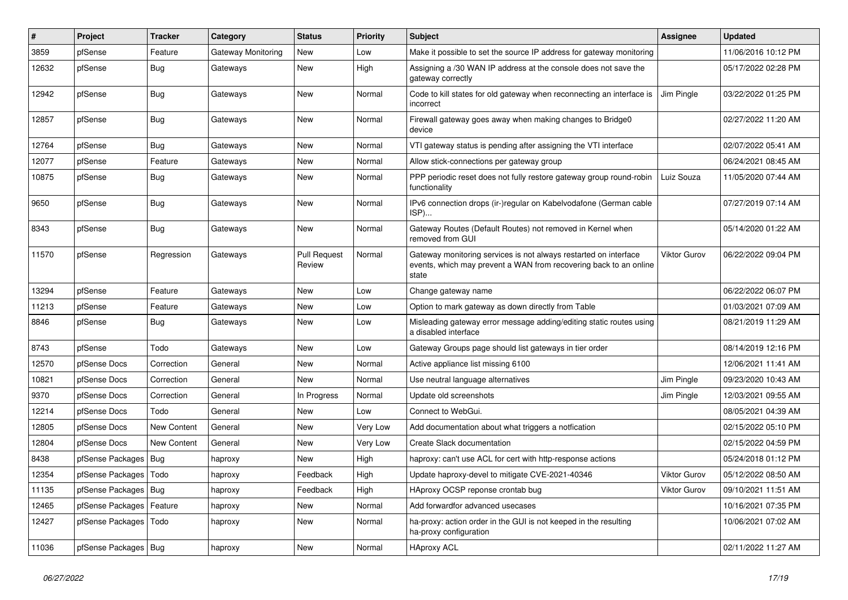| ∦     | Project                 | <b>Tracker</b>     | Category                  | <b>Status</b>                 | <b>Priority</b> | Subject                                                                                                                                        | Assignee            | <b>Updated</b>      |
|-------|-------------------------|--------------------|---------------------------|-------------------------------|-----------------|------------------------------------------------------------------------------------------------------------------------------------------------|---------------------|---------------------|
| 3859  | pfSense                 | Feature            | <b>Gateway Monitoring</b> | New                           | Low             | Make it possible to set the source IP address for gateway monitoring                                                                           |                     | 11/06/2016 10:12 PM |
| 12632 | pfSense                 | Bug                | Gateways                  | New                           | High            | Assigning a /30 WAN IP address at the console does not save the<br>gateway correctly                                                           |                     | 05/17/2022 02:28 PM |
| 12942 | pfSense                 | Bug                | Gateways                  | New                           | Normal          | Code to kill states for old gateway when reconnecting an interface is<br>incorrect                                                             | Jim Pingle          | 03/22/2022 01:25 PM |
| 12857 | pfSense                 | Bug                | Gateways                  | New                           | Normal          | Firewall gateway goes away when making changes to Bridge0<br>device                                                                            |                     | 02/27/2022 11:20 AM |
| 12764 | pfSense                 | Bug                | Gateways                  | New                           | Normal          | VTI gateway status is pending after assigning the VTI interface                                                                                |                     | 02/07/2022 05:41 AM |
| 12077 | pfSense                 | Feature            | Gateways                  | New                           | Normal          | Allow stick-connections per gateway group                                                                                                      |                     | 06/24/2021 08:45 AM |
| 10875 | pfSense                 | <b>Bug</b>         | Gateways                  | New                           | Normal          | PPP periodic reset does not fully restore gateway group round-robin<br>functionality                                                           | Luiz Souza          | 11/05/2020 07:44 AM |
| 9650  | pfSense                 | <b>Bug</b>         | Gateways                  | New                           | Normal          | IPv6 connection drops (ir-)regular on Kabelvodafone (German cable<br>ISP)                                                                      |                     | 07/27/2019 07:14 AM |
| 8343  | pfSense                 | Bug                | Gateways                  | New                           | Normal          | Gateway Routes (Default Routes) not removed in Kernel when<br>removed from GUI                                                                 |                     | 05/14/2020 01:22 AM |
| 11570 | pfSense                 | Regression         | Gateways                  | <b>Pull Request</b><br>Review | Normal          | Gateway monitoring services is not always restarted on interface<br>events, which may prevent a WAN from recovering back to an online<br>state | Viktor Gurov        | 06/22/2022 09:04 PM |
| 13294 | pfSense                 | Feature            | Gateways                  | New                           | Low             | Change gateway name                                                                                                                            |                     | 06/22/2022 06:07 PM |
| 11213 | pfSense                 | Feature            | Gateways                  | New                           | Low             | Option to mark gateway as down directly from Table                                                                                             |                     | 01/03/2021 07:09 AM |
| 8846  | pfSense                 | <b>Bug</b>         | Gateways                  | New                           | Low             | Misleading gateway error message adding/editing static routes using<br>a disabled interface                                                    |                     | 08/21/2019 11:29 AM |
| 8743  | pfSense                 | Todo               | Gateways                  | New                           | Low             | Gateway Groups page should list gateways in tier order                                                                                         |                     | 08/14/2019 12:16 PM |
| 12570 | pfSense Docs            | Correction         | General                   | New                           | Normal          | Active appliance list missing 6100                                                                                                             |                     | 12/06/2021 11:41 AM |
| 10821 | pfSense Docs            | Correction         | General                   | <b>New</b>                    | Normal          | Use neutral language alternatives                                                                                                              | Jim Pingle          | 09/23/2020 10:43 AM |
| 9370  | pfSense Docs            | Correction         | General                   | In Progress                   | Normal          | Update old screenshots                                                                                                                         | Jim Pingle          | 12/03/2021 09:55 AM |
| 12214 | pfSense Docs            | Todo               | General                   | New                           | Low             | Connect to WebGui.                                                                                                                             |                     | 08/05/2021 04:39 AM |
| 12805 | pfSense Docs            | New Content        | General                   | New                           | Very Low        | Add documentation about what triggers a notfication                                                                                            |                     | 02/15/2022 05:10 PM |
| 12804 | pfSense Docs            | <b>New Content</b> | General                   | New                           | Very Low        | Create Slack documentation                                                                                                                     |                     | 02/15/2022 04:59 PM |
| 8438  | pfSense Packages        | Bug                | haproxy                   | New                           | High            | haproxy: can't use ACL for cert with http-response actions                                                                                     |                     | 05/24/2018 01:12 PM |
| 12354 | pfSense Packages   Todo |                    | haproxy                   | Feedback                      | High            | Update haproxy-devel to mitigate CVE-2021-40346                                                                                                | <b>Viktor Gurov</b> | 05/12/2022 08:50 AM |
| 11135 | pfSense Packages   Bug  |                    | haproxy                   | Feedback                      | High            | HAproxy OCSP reponse crontab bug                                                                                                               | Viktor Gurov        | 09/10/2021 11:51 AM |
| 12465 | pfSense Packages        | Feature            | haproxy                   | New                           | Normal          | Add forwardfor advanced usecases                                                                                                               |                     | 10/16/2021 07:35 PM |
| 12427 | pfSense Packages   Todo |                    | haproxy                   | New                           | Normal          | ha-proxy: action order in the GUI is not keeped in the resulting<br>ha-proxy configuration                                                     |                     | 10/06/2021 07:02 AM |
| 11036 | pfSense Packages   Bug  |                    | haproxy                   | New                           | Normal          | <b>HAproxy ACL</b>                                                                                                                             |                     | 02/11/2022 11:27 AM |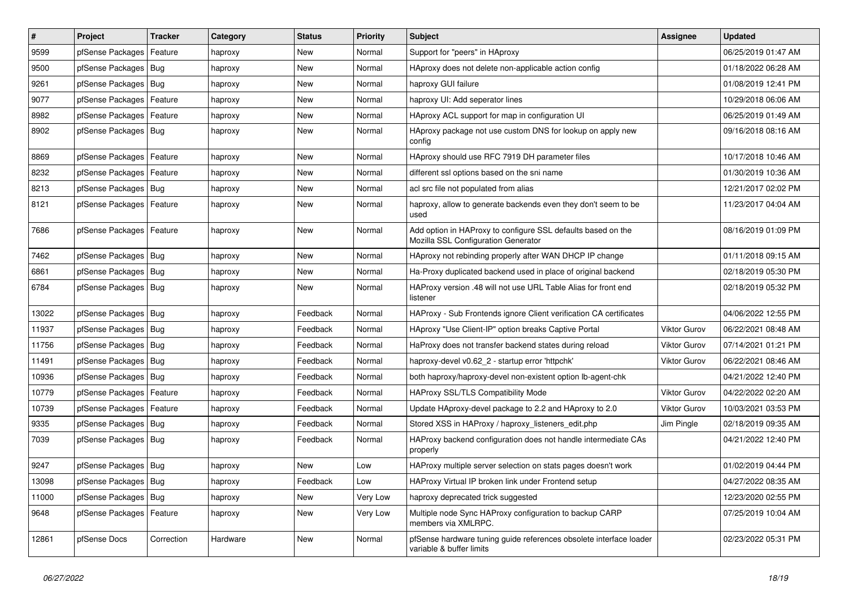| $\vert$ # | Project                | <b>Tracker</b> | Category | <b>Status</b> | <b>Priority</b> | Subject                                                                                             | Assignee            | <b>Updated</b>      |
|-----------|------------------------|----------------|----------|---------------|-----------------|-----------------------------------------------------------------------------------------------------|---------------------|---------------------|
| 9599      | pfSense Packages       | Feature        | haproxy  | New           | Normal          | Support for "peers" in HAproxy                                                                      |                     | 06/25/2019 01:47 AM |
| 9500      | pfSense Packages       | Bug            | haproxy  | New           | Normal          | HAproxy does not delete non-applicable action config                                                |                     | 01/18/2022 06:28 AM |
| 9261      | pfSense Packages       | Bug            | haproxy  | New           | Normal          | haproxy GUI failure                                                                                 |                     | 01/08/2019 12:41 PM |
| 9077      | pfSense Packages       | Feature        | haproxy  | New           | Normal          | haproxy UI: Add seperator lines                                                                     |                     | 10/29/2018 06:06 AM |
| 8982      | pfSense Packages       | Feature        | haproxy  | New           | Normal          | HAproxy ACL support for map in configuration UI                                                     |                     | 06/25/2019 01:49 AM |
| 8902      | pfSense Packages       | Bug            | haproxy  | New           | Normal          | HAproxy package not use custom DNS for lookup on apply new<br>config                                |                     | 09/16/2018 08:16 AM |
| 8869      | pfSense Packages       | Feature        | haproxy  | New           | Normal          | HAproxy should use RFC 7919 DH parameter files                                                      |                     | 10/17/2018 10:46 AM |
| 8232      | pfSense Packages       | Feature        | haproxy  | New           | Normal          | different ssl options based on the sni name                                                         |                     | 01/30/2019 10:36 AM |
| 8213      | pfSense Packages       | Bug            | haproxy  | New           | Normal          | acl src file not populated from alias                                                               |                     | 12/21/2017 02:02 PM |
| 8121      | pfSense Packages       | Feature        | haproxy  | New           | Normal          | haproxy, allow to generate backends even they don't seem to be<br>used                              |                     | 11/23/2017 04:04 AM |
| 7686      | pfSense Packages       | Feature        | haproxy  | New           | Normal          | Add option in HAProxy to configure SSL defaults based on the<br>Mozilla SSL Configuration Generator |                     | 08/16/2019 01:09 PM |
| 7462      | pfSense Packages       | Bug            | haproxy  | New           | Normal          | HAproxy not rebinding properly after WAN DHCP IP change                                             |                     | 01/11/2018 09:15 AM |
| 6861      | pfSense Packages       | Bug            | haproxy  | New           | Normal          | Ha-Proxy duplicated backend used in place of original backend                                       |                     | 02/18/2019 05:30 PM |
| 6784      | pfSense Packages   Bug |                | haproxy  | New           | Normal          | HAProxy version .48 will not use URL Table Alias for front end<br>listener                          |                     | 02/18/2019 05:32 PM |
| 13022     | pfSense Packages       | Bug            | haproxy  | Feedback      | Normal          | HAProxy - Sub Frontends ignore Client verification CA certificates                                  |                     | 04/06/2022 12:55 PM |
| 11937     | pfSense Packages       | Bug            | haproxy  | Feedback      | Normal          | HAproxy "Use Client-IP" option breaks Captive Portal                                                | <b>Viktor Gurov</b> | 06/22/2021 08:48 AM |
| 11756     | pfSense Packages       | <b>Bug</b>     | haproxy  | Feedback      | Normal          | HaProxy does not transfer backend states during reload                                              | Viktor Gurov        | 07/14/2021 01:21 PM |
| 11491     | pfSense Packages       | Bug            | haproxy  | Feedback      | Normal          | haproxy-devel v0.62 2 - startup error 'httpchk'                                                     | <b>Viktor Gurov</b> | 06/22/2021 08:46 AM |
| 10936     | pfSense Packages       | Bug            | haproxy  | Feedback      | Normal          | both haproxy/haproxy-devel non-existent option lb-agent-chk                                         |                     | 04/21/2022 12:40 PM |
| 10779     | pfSense Packages       | Feature        | haproxy  | Feedback      | Normal          | HAProxy SSL/TLS Compatibility Mode                                                                  | Viktor Gurov        | 04/22/2022 02:20 AM |
| 10739     | pfSense Packages       | Feature        | haproxy  | Feedback      | Normal          | Update HAproxy-devel package to 2.2 and HAproxy to 2.0                                              | Viktor Gurov        | 10/03/2021 03:53 PM |
| 9335      | pfSense Packages       | <b>Bug</b>     | haproxy  | Feedback      | Normal          | Stored XSS in HAProxy / haproxy_listeners_edit.php                                                  | Jim Pingle          | 02/18/2019 09:35 AM |
| 7039      | pfSense Packages       | Bug            | haproxy  | Feedback      | Normal          | HAProxy backend configuration does not handle intermediate CAs<br>properly                          |                     | 04/21/2022 12:40 PM |
| 9247      | pfSense Packages       | Bug            | haproxy  | New           | Low             | HAProxy multiple server selection on stats pages doesn't work                                       |                     | 01/02/2019 04:44 PM |
| 13098     | pfSense Packages   Bug |                | haproxy  | Feedback      | Low             | HAProxy Virtual IP broken link under Frontend setup                                                 |                     | 04/27/2022 08:35 AM |
| 11000     | pfSense Packages       | Bug            | haproxy  | New           | Very Low        | haproxy deprecated trick suggested                                                                  |                     | 12/23/2020 02:55 PM |
| 9648      | pfSense Packages       | Feature        | haproxy  | New           | Very Low        | Multiple node Sync HAProxy configuration to backup CARP<br>members via XMLRPC.                      |                     | 07/25/2019 10:04 AM |
| 12861     | pfSense Docs           | Correction     | Hardware | New           | Normal          | pfSense hardware tuning guide references obsolete interface loader<br>variable & buffer limits      |                     | 02/23/2022 05:31 PM |